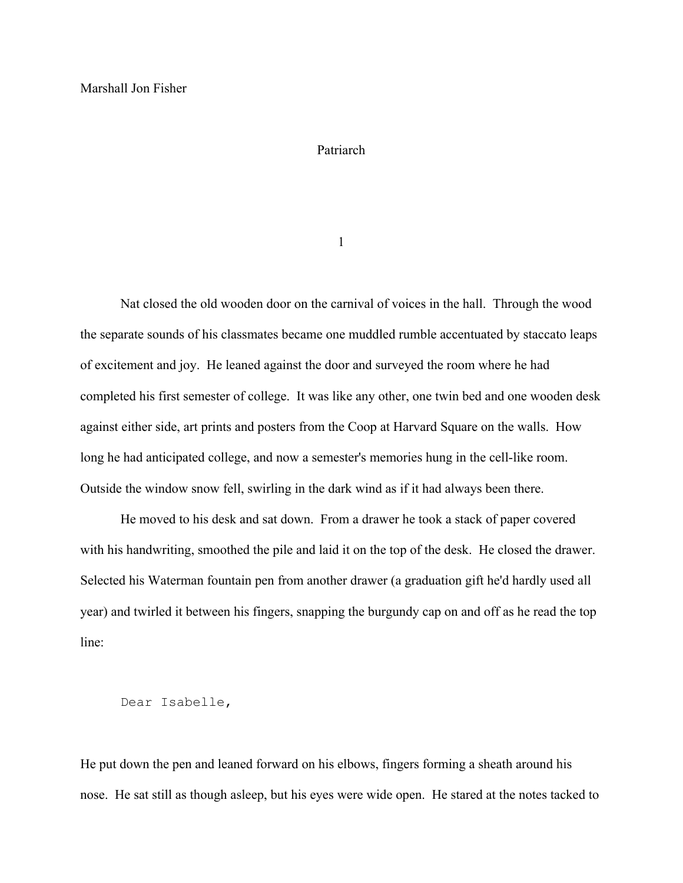## Patriarch

1

Nat closed the old wooden door on the carnival of voices in the hall. Through the wood the separate sounds of his classmates became one muddled rumble accentuated by staccato leaps of excitement and joy. He leaned against the door and surveyed the room where he had completed his first semester of college. It was like any other, one twin bed and one wooden desk against either side, art prints and posters from the Coop at Harvard Square on the walls. How long he had anticipated college, and now a semester's memories hung in the cell-like room. Outside the window snow fell, swirling in the dark wind as if it had always been there.

He moved to his desk and sat down. From a drawer he took a stack of paper covered with his handwriting, smoothed the pile and laid it on the top of the desk. He closed the drawer. Selected his Waterman fountain pen from another drawer (a graduation gift he'd hardly used all year) and twirled it between his fingers, snapping the burgundy cap on and off as he read the top line:

## Dear Isabelle,

He put down the pen and leaned forward on his elbows, fingers forming a sheath around his nose. He sat still as though asleep, but his eyes were wide open. He stared at the notes tacked to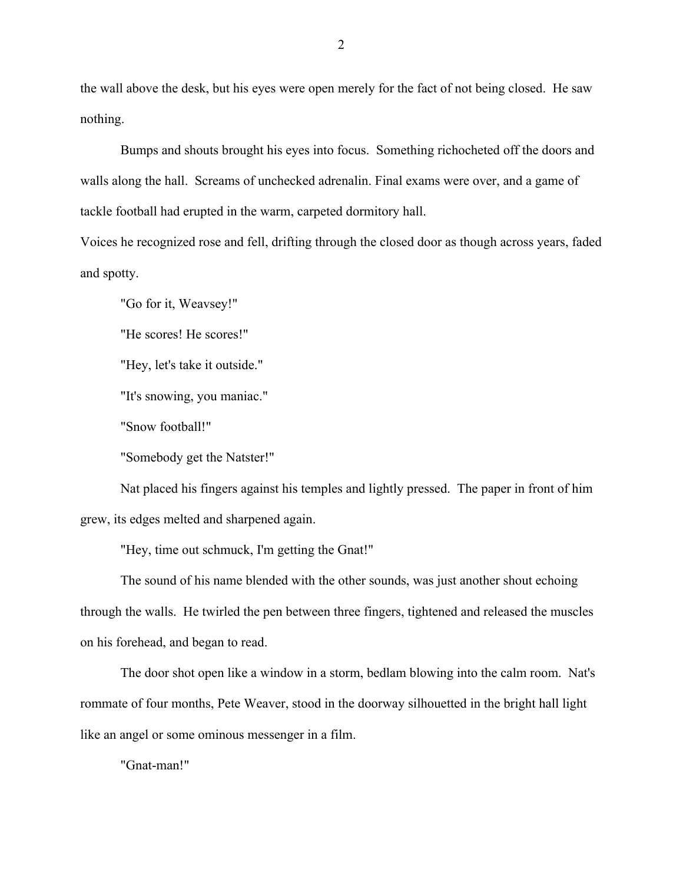the wall above the desk, but his eyes were open merely for the fact of not being closed. He saw nothing.

Bumps and shouts brought his eyes into focus. Something richocheted off the doors and walls along the hall. Screams of unchecked adrenalin. Final exams were over, and a game of tackle football had erupted in the warm, carpeted dormitory hall.

Voices he recognized rose and fell, drifting through the closed door as though across years, faded and spotty.

"Go for it, Weavsey!"

"He scores! He scores!"

"Hey, let's take it outside."

"It's snowing, you maniac."

"Snow football!"

"Somebody get the Natster!"

Nat placed his fingers against his temples and lightly pressed. The paper in front of him grew, its edges melted and sharpened again.

"Hey, time out schmuck, I'm getting the Gnat!"

The sound of his name blended with the other sounds, was just another shout echoing through the walls. He twirled the pen between three fingers, tightened and released the muscles on his forehead, and began to read.

The door shot open like a window in a storm, bedlam blowing into the calm room. Nat's rommate of four months, Pete Weaver, stood in the doorway silhouetted in the bright hall light like an angel or some ominous messenger in a film.

"Gnat-man!"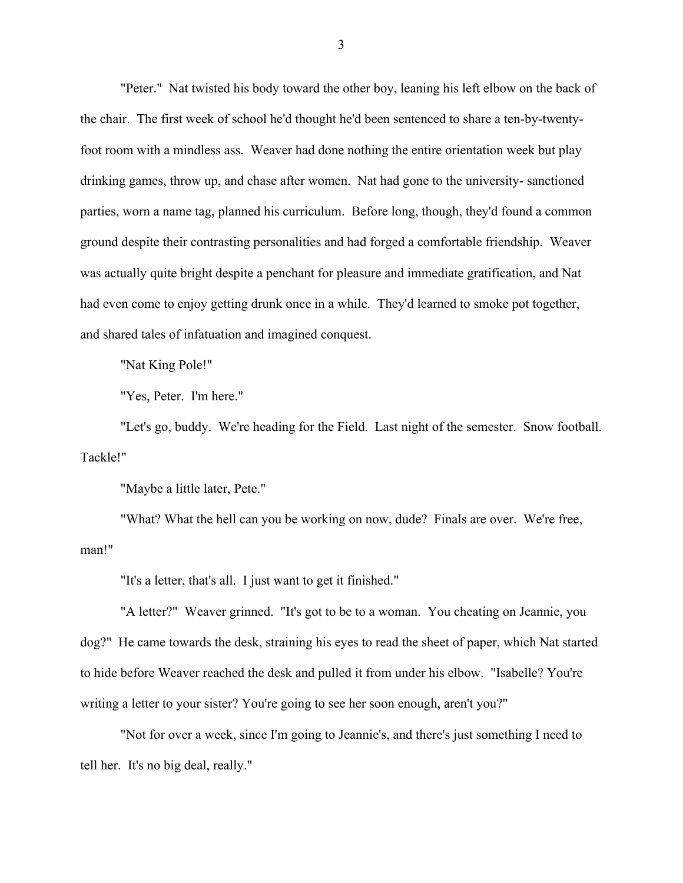"Peter." Nat twisted his body toward the other boy, leaning his left elbow on the back of the chair. The first week of school he'd thought he'd been sentenced to share a ten-by-twentyfoot room with a mindless ass. Weaver had done nothing the entire orientation week but play drinking games, throw up, and chase after women. Nat had gone to the university- sanctioned parties, worn a name tag, planned his curriculum. Before long, though, they'd found a common ground despite their contrasting personalities and had forged a comfortable friendship. Weaver was actually quite bright despite a penchant for pleasure and immediate gratification, and Nat had even come to enjoy getting drunk once in a while. They'd learned to smoke pot together, and shared tales of infatuation and imagined conquest.

"Nat King Pole!"

"Yes, Peter. I'm here."

"Let's go, buddy. We're heading for the Field. Last night of the semester. Snow football. Tackle!"

"Maybe a little later, Pete."

"What? What the hell can you be working on now, dude? Finals are over. We're free, man!"

"It's a letter, that's all. I just want to get it finished."

"A letter?" Weaver grinned. "It's got to be to a woman. You cheating on Jeannie, you dog?" He came towards the desk, straining his eyes to read the sheet of paper, which Nat started to hide before Weaver reached the desk and pulled it from under his elbow. "Isabelle? You're writing a letter to your sister? You're going to see her soon enough, aren't you?"

"Not for over a week, since I'm going to Jeannie's, and there's just something I need to tell her. It's no big deal, really."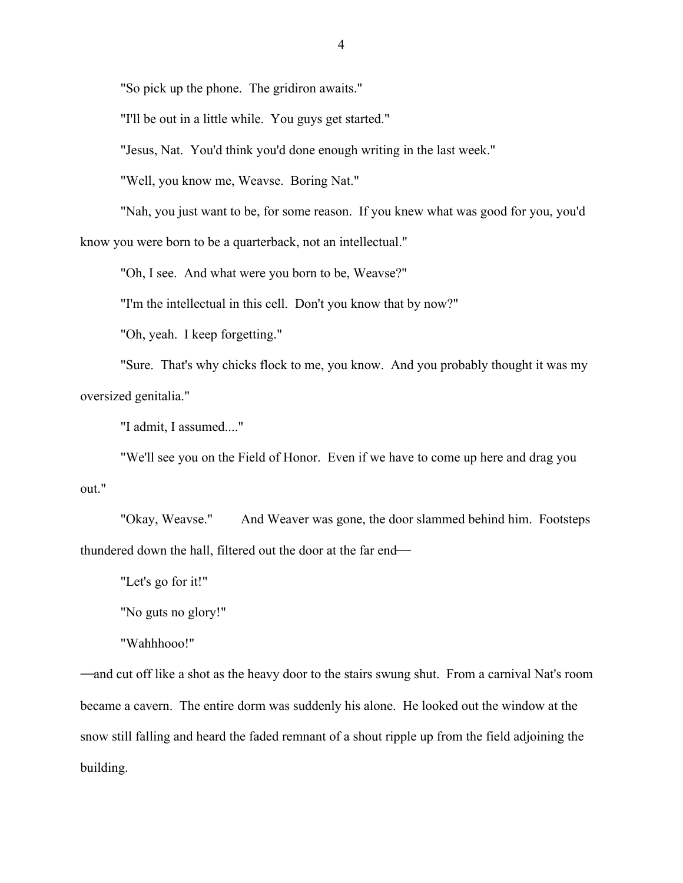"So pick up the phone. The gridiron awaits."

"I'll be out in a little while. You guys get started."

"Jesus, Nat. You'd think you'd done enough writing in the last week."

"Well, you know me, Weavse. Boring Nat."

"Nah, you just want to be, for some reason. If you knew what was good for you, you'd know you were born to be a quarterback, not an intellectual."

"Oh, I see. And what were you born to be, Weavse?"

"I'm the intellectual in this cell. Don't you know that by now?"

"Oh, yeah. I keep forgetting."

"Sure. That's why chicks flock to me, you know. And you probably thought it was my oversized genitalia."

"I admit, I assumed...."

"We'll see you on the Field of Honor. Even if we have to come up here and drag you out."

"Okay, Weavse." And Weaver was gone, the door slammed behind him. Footsteps thundered down the hall, filtered out the door at the far end

"Let's go for it!"

"No guts no glory!"

"Wahhhooo!"

—and cut off like a shot as the heavy door to the stairs swung shut. From a carnival Nat's room became a cavern. The entire dorm was suddenly his alone. He looked out the window at the snow still falling and heard the faded remnant of a shout ripple up from the field adjoining the building.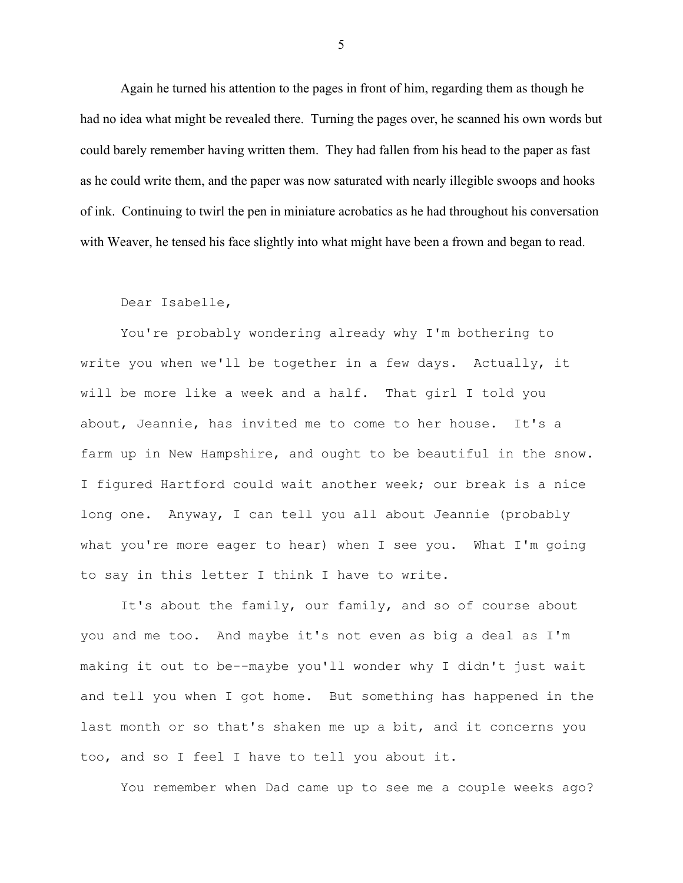Again he turned his attention to the pages in front of him, regarding them as though he had no idea what might be revealed there. Turning the pages over, he scanned his own words but could barely remember having written them. They had fallen from his head to the paper as fast as he could write them, and the paper was now saturated with nearly illegible swoops and hooks of ink. Continuing to twirl the pen in miniature acrobatics as he had throughout his conversation with Weaver, he tensed his face slightly into what might have been a frown and began to read.

## Dear Isabelle,

You're probably wondering already why I'm bothering to write you when we'll be together in a few days. Actually, it will be more like a week and a half. That girl I told you about, Jeannie, has invited me to come to her house. It's a farm up in New Hampshire, and ought to be beautiful in the snow. I figured Hartford could wait another week; our break is a nice long one. Anyway, I can tell you all about Jeannie (probably what you're more eager to hear) when I see you. What I'm going to say in this letter I think I have to write.

It's about the family, our family, and so of course about you and me too. And maybe it's not even as big a deal as I'm making it out to be--maybe you'll wonder why I didn't just wait and tell you when I got home. But something has happened in the last month or so that's shaken me up a bit, and it concerns you too, and so I feel I have to tell you about it.

You remember when Dad came up to see me a couple weeks ago?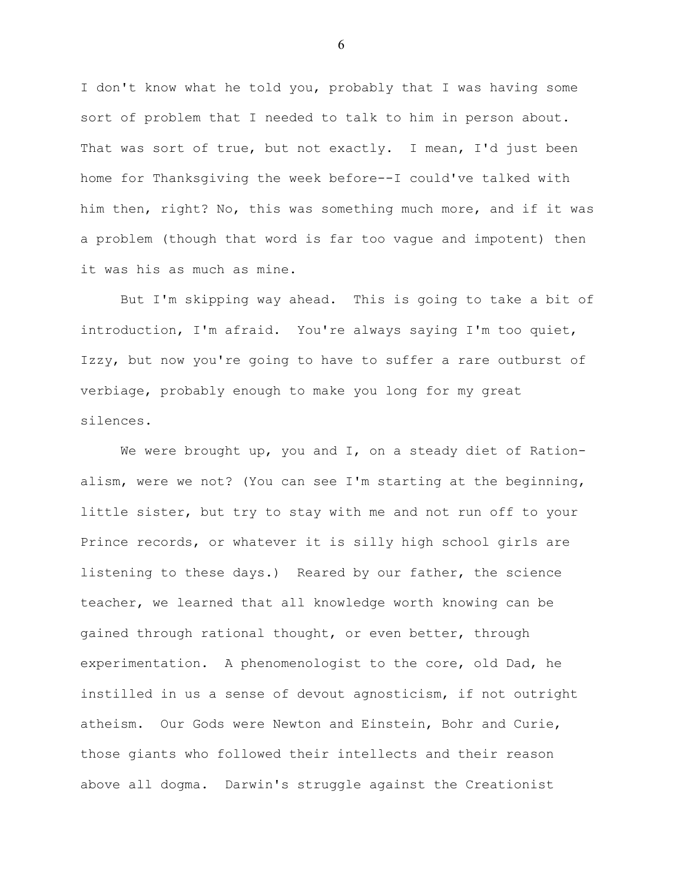I don't know what he told you, probably that I was having some sort of problem that I needed to talk to him in person about. That was sort of true, but not exactly. I mean, I'd just been home for Thanksgiving the week before--I could've talked with him then, right? No, this was something much more, and if it was a problem (though that word is far too vague and impotent) then it was his as much as mine.

But I'm skipping way ahead. This is going to take a bit of introduction, I'm afraid. You're always saying I'm too quiet, Izzy, but now you're going to have to suffer a rare outburst of verbiage, probably enough to make you long for my great silences.

We were brought up, you and I, on a steady diet of Rationalism, were we not? (You can see I'm starting at the beginning, little sister, but try to stay with me and not run off to your Prince records, or whatever it is silly high school girls are listening to these days.) Reared by our father, the science teacher, we learned that all knowledge worth knowing can be gained through rational thought, or even better, through experimentation. A phenomenologist to the core, old Dad, he instilled in us a sense of devout agnosticism, if not outright atheism. Our Gods were Newton and Einstein, Bohr and Curie, those giants who followed their intellects and their reason above all dogma. Darwin's struggle against the Creationist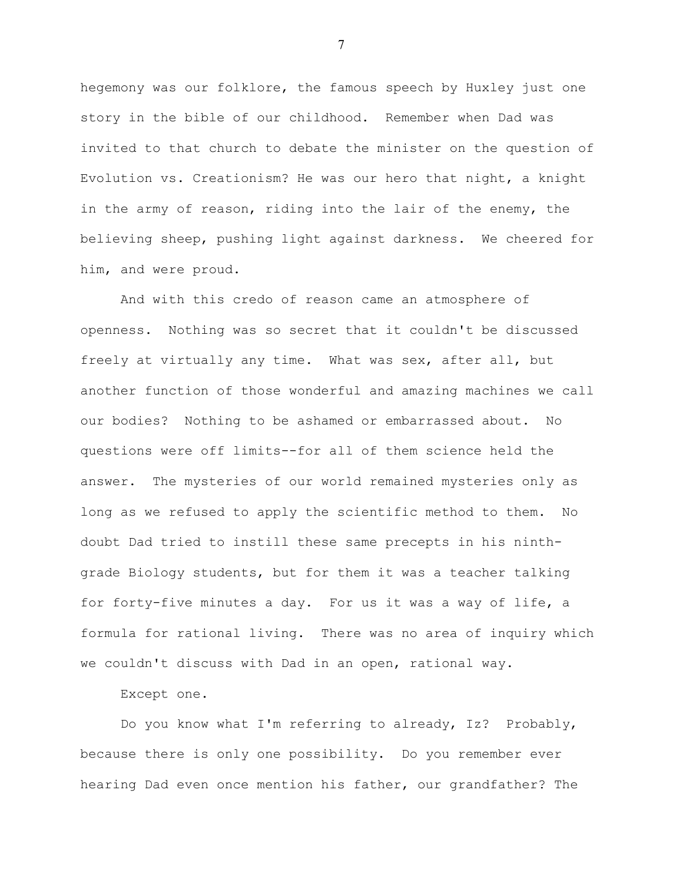hegemony was our folklore, the famous speech by Huxley just one story in the bible of our childhood. Remember when Dad was invited to that church to debate the minister on the question of Evolution vs. Creationism? He was our hero that night, a knight in the army of reason, riding into the lair of the enemy, the believing sheep, pushing light against darkness. We cheered for him, and were proud.

And with this credo of reason came an atmosphere of openness. Nothing was so secret that it couldn't be discussed freely at virtually any time. What was sex, after all, but another function of those wonderful and amazing machines we call our bodies? Nothing to be ashamed or embarrassed about. No questions were off limits--for all of them science held the answer. The mysteries of our world remained mysteries only as long as we refused to apply the scientific method to them. No doubt Dad tried to instill these same precepts in his ninthgrade Biology students, but for them it was a teacher talking for forty-five minutes a day. For us it was a way of life, a formula for rational living. There was no area of inquiry which we couldn't discuss with Dad in an open, rational way.

Except one.

Do you know what I'm referring to already, Iz? Probably, because there is only one possibility. Do you remember ever hearing Dad even once mention his father, our grandfather? The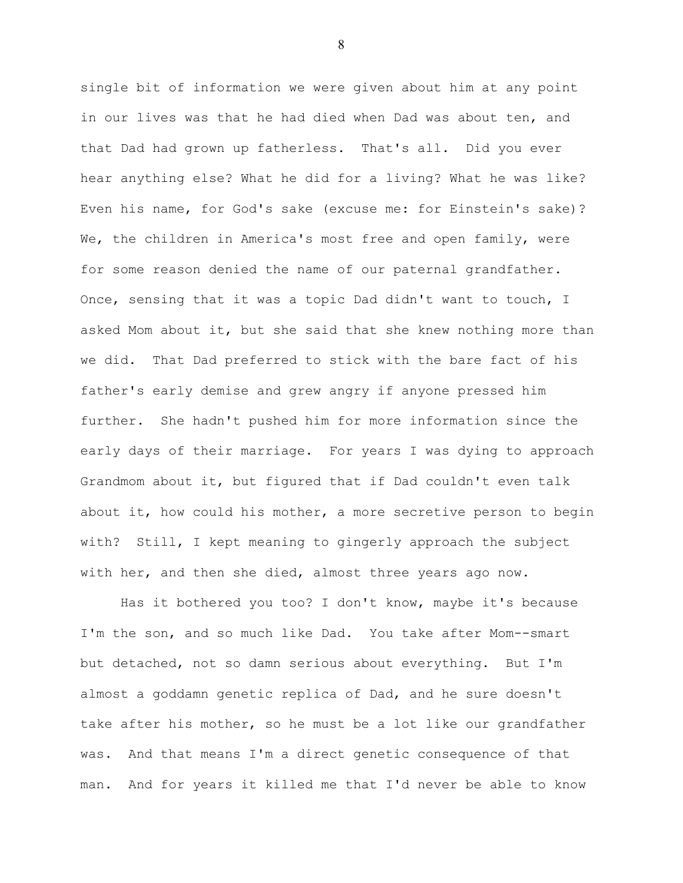single bit of information we were given about him at any point in our lives was that he had died when Dad was about ten, and that Dad had grown up fatherless. That's all. Did you ever hear anything else? What he did for a living? What he was like? Even his name, for God's sake (excuse me: for Einstein's sake)? We, the children in America's most free and open family, were for some reason denied the name of our paternal grandfather. Once, sensing that it was a topic Dad didn't want to touch, I asked Mom about it, but she said that she knew nothing more than we did. That Dad preferred to stick with the bare fact of his father's early demise and grew angry if anyone pressed him further. She hadn't pushed him for more information since the early days of their marriage. For years I was dying to approach Grandmom about it, but figured that if Dad couldn't even talk about it, how could his mother, a more secretive person to begin with? Still, I kept meaning to gingerly approach the subject with her, and then she died, almost three years ago now.

Has it bothered you too? I don't know, maybe it's because I'm the son, and so much like Dad. You take after Mom--smart but detached, not so damn serious about everything. But I'm almost a goddamn genetic replica of Dad, and he sure doesn't take after his mother, so he must be a lot like our grandfather was. And that means I'm a direct genetic consequence of that man. And for years it killed me that I'd never be able to know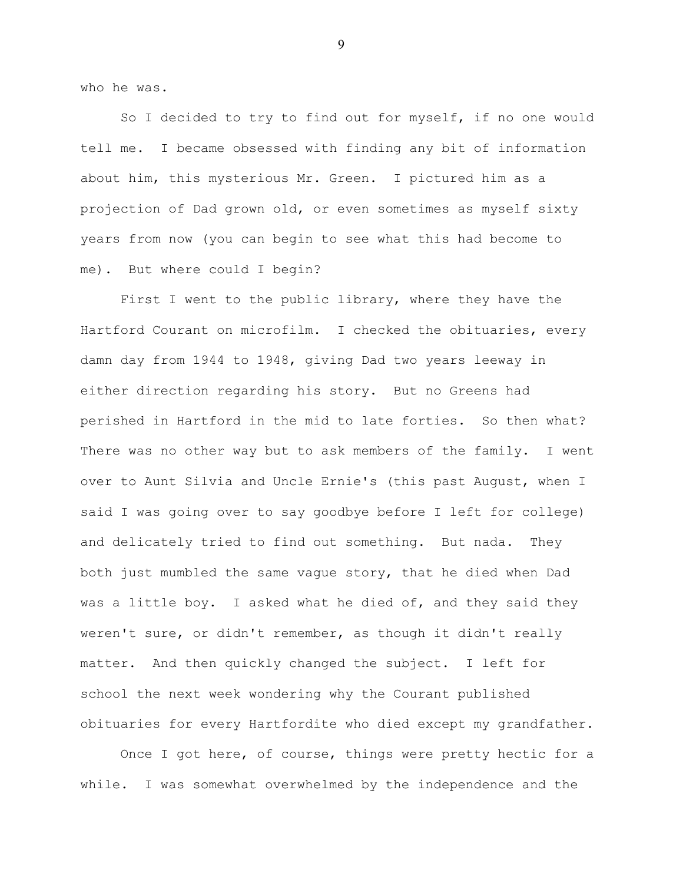who he was.

So I decided to try to find out for myself, if no one would tell me. I became obsessed with finding any bit of information about him, this mysterious Mr. Green. I pictured him as a projection of Dad grown old, or even sometimes as myself sixty years from now (you can begin to see what this had become to me). But where could I begin?

First I went to the public library, where they have the Hartford Courant on microfilm. I checked the obituaries, every damn day from 1944 to 1948, giving Dad two years leeway in either direction regarding his story. But no Greens had perished in Hartford in the mid to late forties. So then what? There was no other way but to ask members of the family. I went over to Aunt Silvia and Uncle Ernie's (this past August, when I said I was going over to say goodbye before I left for college) and delicately tried to find out something. But nada. They both just mumbled the same vague story, that he died when Dad was a little boy. I asked what he died of, and they said they weren't sure, or didn't remember, as though it didn't really matter. And then quickly changed the subject. I left for school the next week wondering why the Courant published obituaries for every Hartfordite who died except my grandfather.

Once I got here, of course, things were pretty hectic for a while. I was somewhat overwhelmed by the independence and the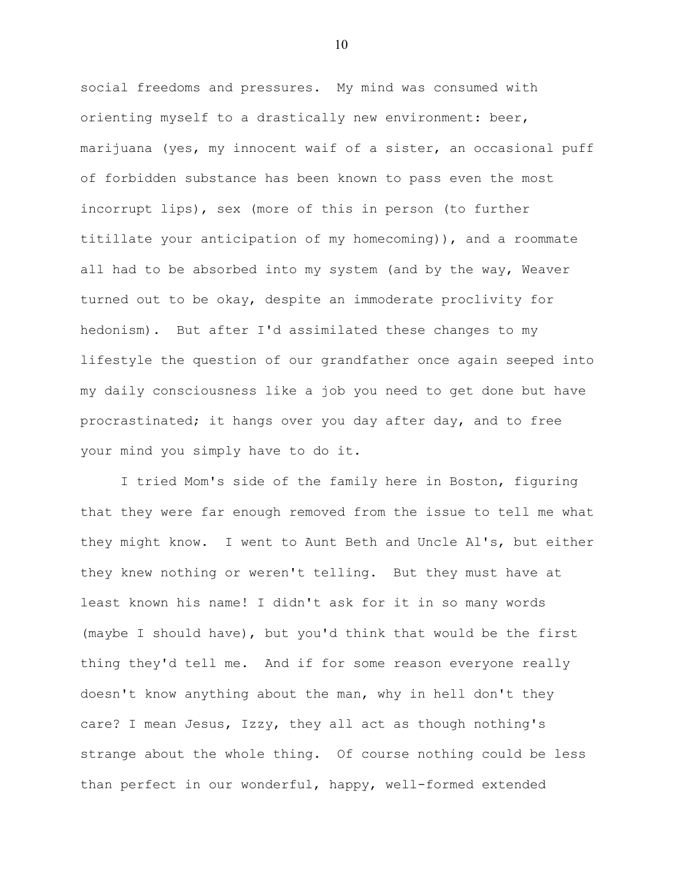social freedoms and pressures. My mind was consumed with orienting myself to a drastically new environment: beer, marijuana (yes, my innocent waif of a sister, an occasional puff of forbidden substance has been known to pass even the most incorrupt lips), sex (more of this in person (to further titillate your anticipation of my homecoming)), and a roommate all had to be absorbed into my system (and by the way, Weaver turned out to be okay, despite an immoderate proclivity for hedonism). But after I'd assimilated these changes to my lifestyle the question of our grandfather once again seeped into my daily consciousness like a job you need to get done but have procrastinated; it hangs over you day after day, and to free your mind you simply have to do it.

I tried Mom's side of the family here in Boston, figuring that they were far enough removed from the issue to tell me what they might know. I went to Aunt Beth and Uncle Al's, but either they knew nothing or weren't telling. But they must have at least known his name! I didn't ask for it in so many words (maybe I should have), but you'd think that would be the first thing they'd tell me. And if for some reason everyone really doesn't know anything about the man, why in hell don't they care? I mean Jesus, Izzy, they all act as though nothing's strange about the whole thing. Of course nothing could be less than perfect in our wonderful, happy, well-formed extended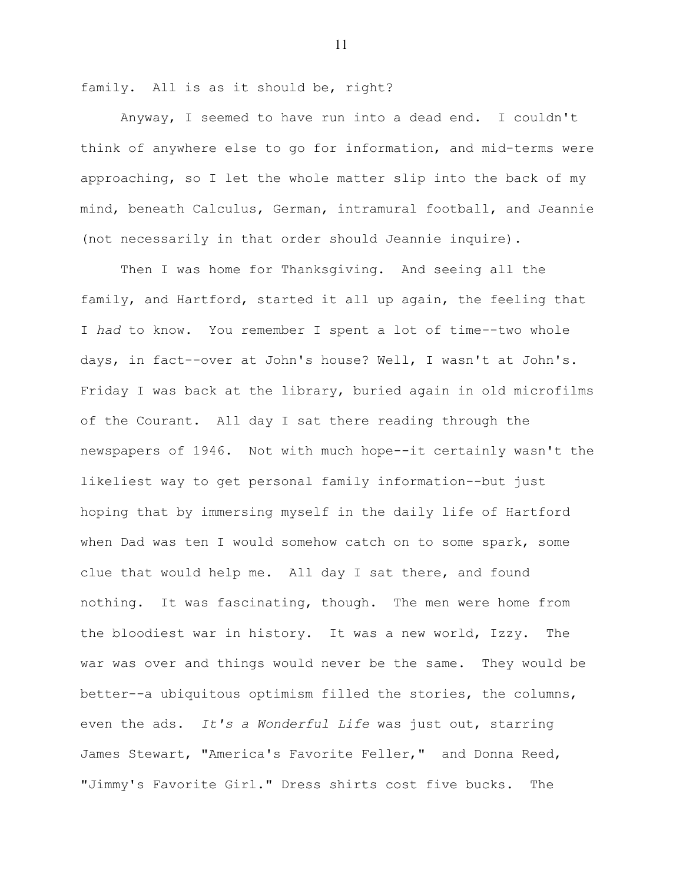family. All is as it should be, right?

Anyway, I seemed to have run into a dead end. I couldn't think of anywhere else to go for information, and mid-terms were approaching, so I let the whole matter slip into the back of my mind, beneath Calculus, German, intramural football, and Jeannie (not necessarily in that order should Jeannie inquire).

Then I was home for Thanksgiving. And seeing all the family, and Hartford, started it all up again, the feeling that I *had* to know. You remember I spent a lot of time--two whole days, in fact--over at John's house? Well, I wasn't at John's. Friday I was back at the library, buried again in old microfilms of the Courant. All day I sat there reading through the newspapers of 1946. Not with much hope--it certainly wasn't the likeliest way to get personal family information--but just hoping that by immersing myself in the daily life of Hartford when Dad was ten I would somehow catch on to some spark, some clue that would help me. All day I sat there, and found nothing. It was fascinating, though. The men were home from the bloodiest war in history. It was a new world, Izzy. The war was over and things would never be the same. They would be better--a ubiquitous optimism filled the stories, the columns, even the ads. *It's a Wonderful Life* was just out, starring James Stewart, "America's Favorite Feller," and Donna Reed, "Jimmy's Favorite Girl." Dress shirts cost five bucks. The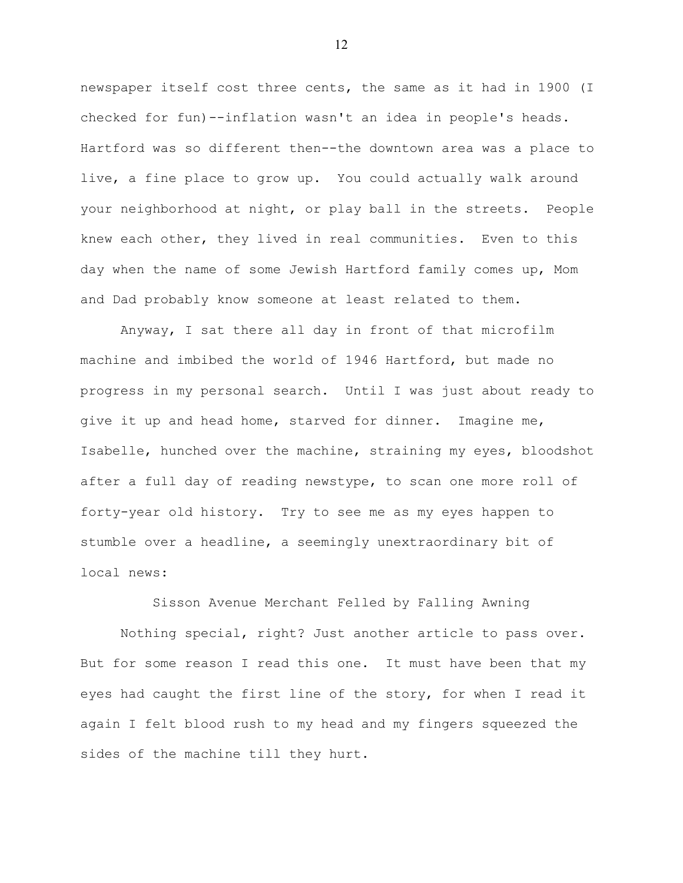newspaper itself cost three cents, the same as it had in 1900 (I checked for fun)--inflation wasn't an idea in people's heads. Hartford was so different then--the downtown area was a place to live, a fine place to grow up. You could actually walk around your neighborhood at night, or play ball in the streets. People knew each other, they lived in real communities. Even to this day when the name of some Jewish Hartford family comes up, Mom and Dad probably know someone at least related to them.

Anyway, I sat there all day in front of that microfilm machine and imbibed the world of 1946 Hartford, but made no progress in my personal search. Until I was just about ready to give it up and head home, starved for dinner. Imagine me, Isabelle, hunched over the machine, straining my eyes, bloodshot after a full day of reading newstype, to scan one more roll of forty-year old history. Try to see me as my eyes happen to stumble over a headline, a seemingly unextraordinary bit of local news:

Sisson Avenue Merchant Felled by Falling Awning

Nothing special, right? Just another article to pass over. But for some reason I read this one. It must have been that my eyes had caught the first line of the story, for when I read it again I felt blood rush to my head and my fingers squeezed the sides of the machine till they hurt.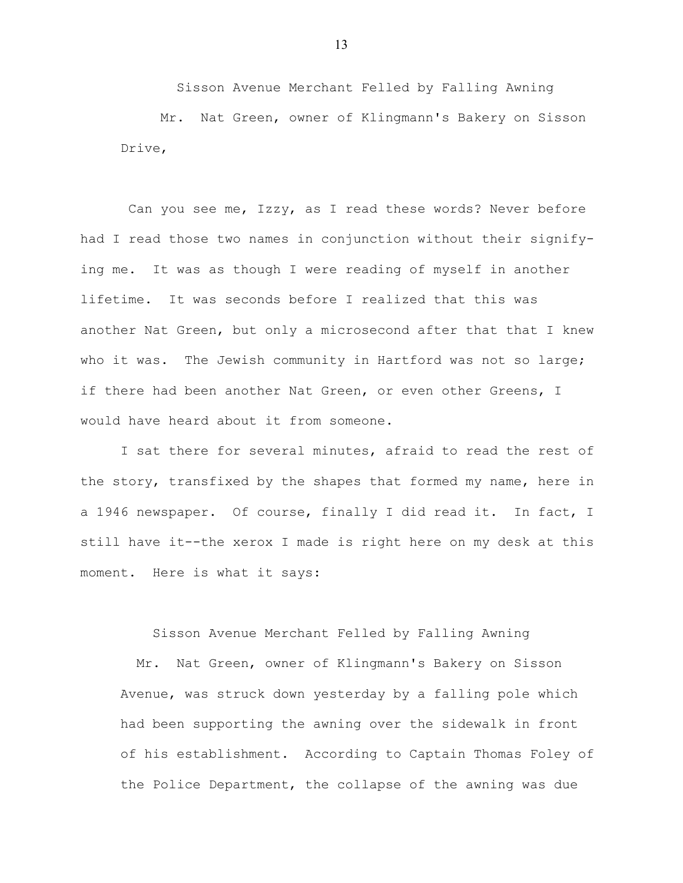Sisson Avenue Merchant Felled by Falling Awning Mr. Nat Green, owner of Klingmann's Bakery on Sisson Drive,

 Can you see me, Izzy, as I read these words? Never before had I read those two names in conjunction without their signifying me. It was as though I were reading of myself in another lifetime. It was seconds before I realized that this was another Nat Green, but only a microsecond after that that I knew who it was. The Jewish community in Hartford was not so large; if there had been another Nat Green, or even other Greens, I would have heard about it from someone.

I sat there for several minutes, afraid to read the rest of the story, transfixed by the shapes that formed my name, here in a 1946 newspaper. Of course, finally I did read it. In fact, I still have it--the xerox I made is right here on my desk at this moment. Here is what it says:

Sisson Avenue Merchant Felled by Falling Awning

 Mr. Nat Green, owner of Klingmann's Bakery on Sisson Avenue, was struck down yesterday by a falling pole which had been supporting the awning over the sidewalk in front of his establishment. According to Captain Thomas Foley of the Police Department, the collapse of the awning was due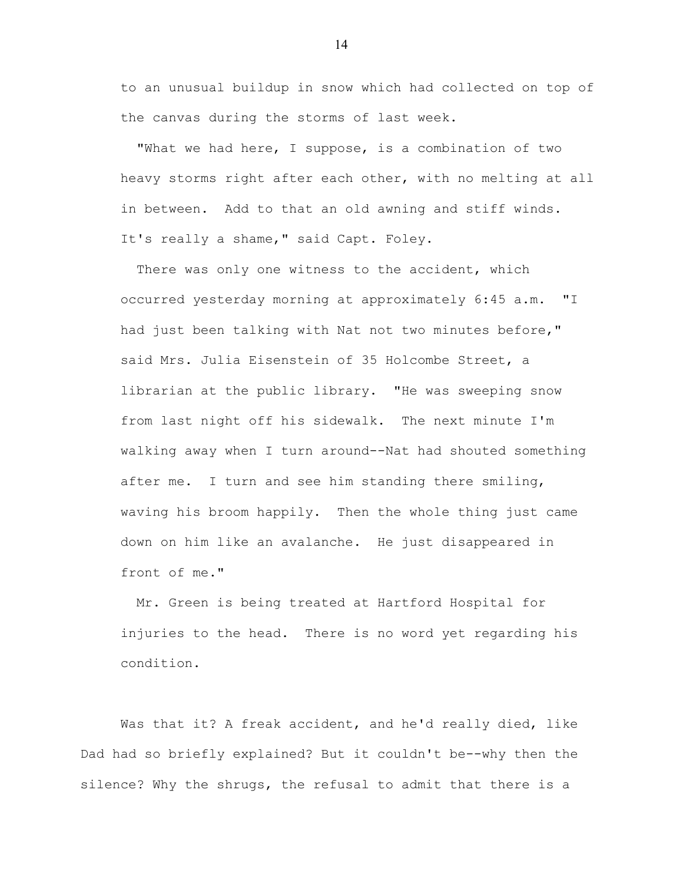to an unusual buildup in snow which had collected on top of the canvas during the storms of last week.

 "What we had here, I suppose, is a combination of two heavy storms right after each other, with no melting at all in between. Add to that an old awning and stiff winds. It's really a shame," said Capt. Foley.

There was only one witness to the accident, which occurred yesterday morning at approximately 6:45 a.m. "I had just been talking with Nat not two minutes before," said Mrs. Julia Eisenstein of 35 Holcombe Street, a librarian at the public library. "He was sweeping snow from last night off his sidewalk. The next minute I'm walking away when I turn around--Nat had shouted something after me. I turn and see him standing there smiling, waving his broom happily. Then the whole thing just came down on him like an avalanche. He just disappeared in front of me."

 Mr. Green is being treated at Hartford Hospital for injuries to the head. There is no word yet regarding his condition.

Was that it? A freak accident, and he'd really died, like Dad had so briefly explained? But it couldn't be--why then the silence? Why the shrugs, the refusal to admit that there is a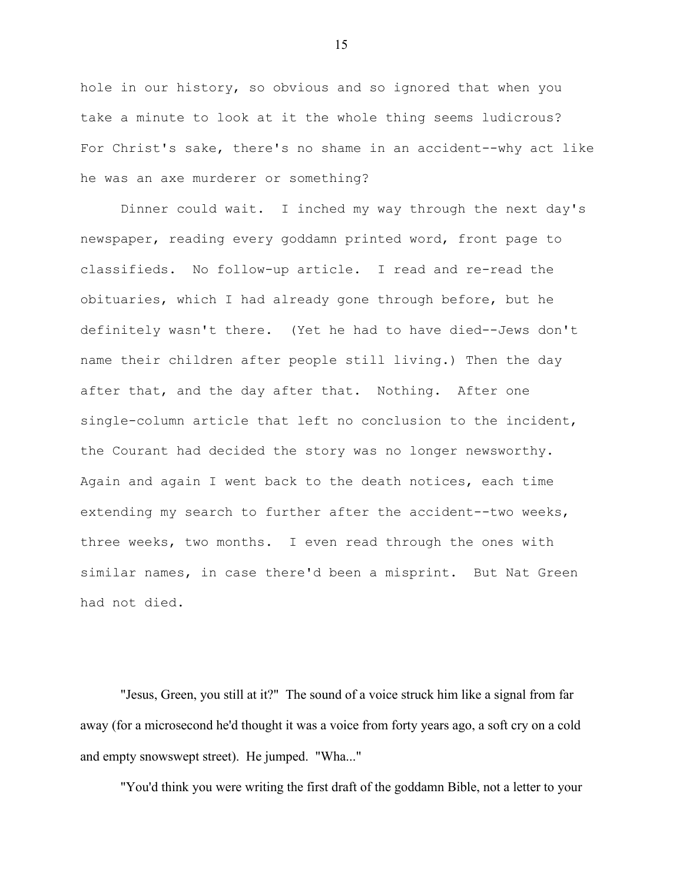hole in our history, so obvious and so ignored that when you take a minute to look at it the whole thing seems ludicrous? For Christ's sake, there's no shame in an accident--why act like he was an axe murderer or something?

Dinner could wait. I inched my way through the next day's newspaper, reading every goddamn printed word, front page to classifieds. No follow-up article. I read and re-read the obituaries, which I had already gone through before, but he definitely wasn't there. (Yet he had to have died--Jews don't name their children after people still living.) Then the day after that, and the day after that. Nothing. After one single-column article that left no conclusion to the incident, the Courant had decided the story was no longer newsworthy. Again and again I went back to the death notices, each time extending my search to further after the accident--two weeks, three weeks, two months. I even read through the ones with similar names, in case there'd been a misprint. But Nat Green had not died.

"Jesus, Green, you still at it?" The sound of a voice struck him like a signal from far away (for a microsecond he'd thought it was a voice from forty years ago, a soft cry on a cold and empty snowswept street). He jumped. "Wha..."

"You'd think you were writing the first draft of the goddamn Bible, not a letter to your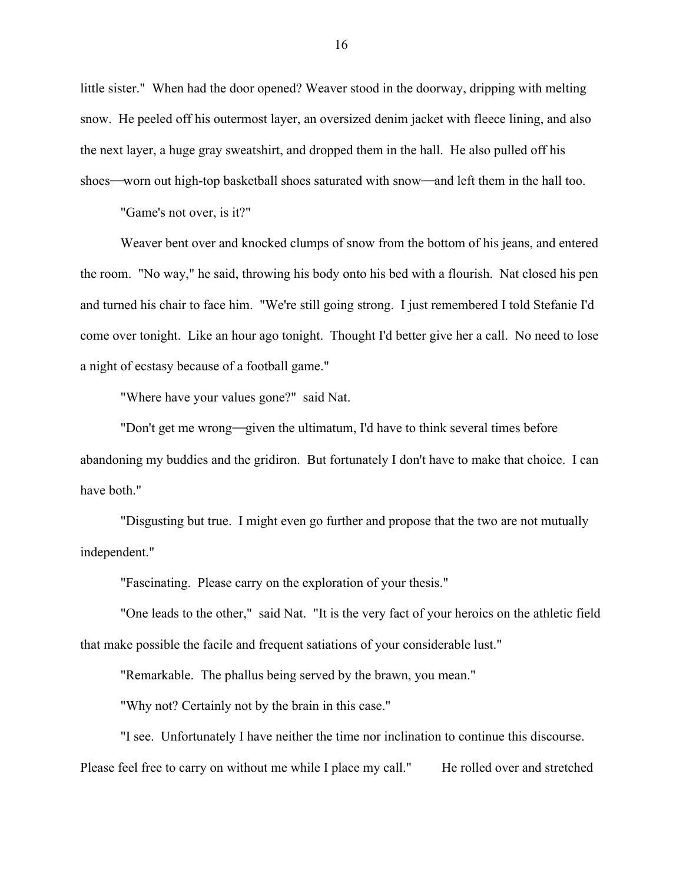little sister." When had the door opened? Weaver stood in the doorway, dripping with melting snow. He peeled off his outermost layer, an oversized denim jacket with fleece lining, and also the next layer, a huge gray sweatshirt, and dropped them in the hall. He also pulled off his shoes—worn out high-top basketball shoes saturated with snow—and left them in the hall too.

"Game's not over, is it?"

Weaver bent over and knocked clumps of snow from the bottom of his jeans, and entered the room. "No way," he said, throwing his body onto his bed with a flourish. Nat closed his pen and turned his chair to face him. "We're still going strong. I just remembered I told Stefanie I'd come over tonight. Like an hour ago tonight. Thought I'd better give her a call. No need to lose a night of ecstasy because of a football game."

"Where have your values gone?" said Nat.

"Don't get me wrong—given the ultimatum, I'd have to think several times before abandoning my buddies and the gridiron. But fortunately I don't have to make that choice. I can have both."

"Disgusting but true. I might even go further and propose that the two are not mutually independent."

"Fascinating. Please carry on the exploration of your thesis."

"One leads to the other," said Nat. "It is the very fact of your heroics on the athletic field that make possible the facile and frequent satiations of your considerable lust."

"Remarkable. The phallus being served by the brawn, you mean."

"Why not? Certainly not by the brain in this case."

"I see. Unfortunately I have neither the time nor inclination to continue this discourse.

Please feel free to carry on without me while I place my call." He rolled over and stretched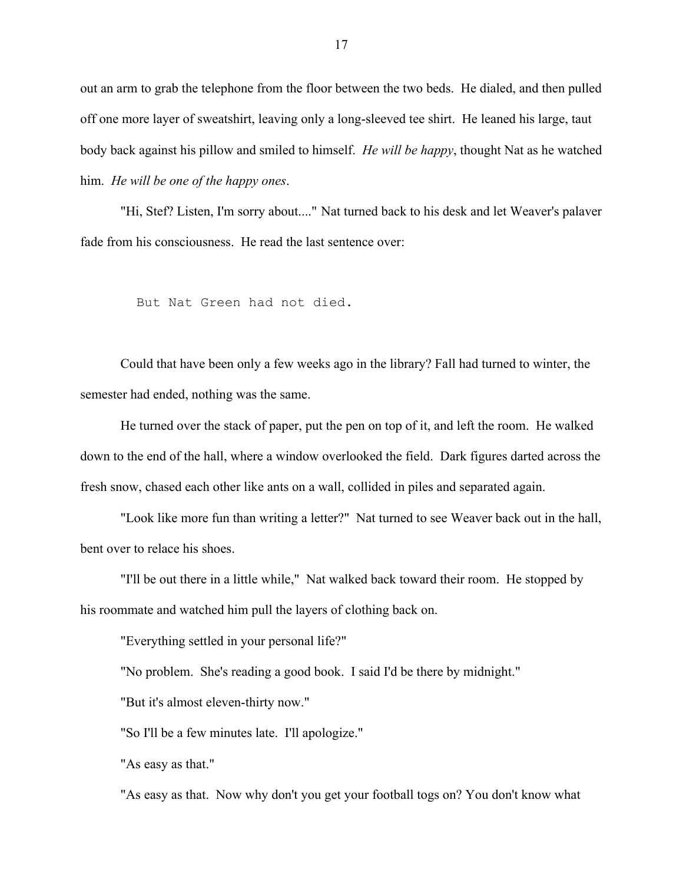out an arm to grab the telephone from the floor between the two beds. He dialed, and then pulled off one more layer of sweatshirt, leaving only a long-sleeved tee shirt. He leaned his large, taut body back against his pillow and smiled to himself. *He will be happy*, thought Nat as he watched him. *He will be one of the happy ones*.

"Hi, Stef? Listen, I'm sorry about...." Nat turned back to his desk and let Weaver's palaver fade from his consciousness. He read the last sentence over:

But Nat Green had not died.

Could that have been only a few weeks ago in the library? Fall had turned to winter, the semester had ended, nothing was the same.

He turned over the stack of paper, put the pen on top of it, and left the room. He walked down to the end of the hall, where a window overlooked the field. Dark figures darted across the fresh snow, chased each other like ants on a wall, collided in piles and separated again.

"Look like more fun than writing a letter?" Nat turned to see Weaver back out in the hall, bent over to relace his shoes.

"I'll be out there in a little while," Nat walked back toward their room. He stopped by his roommate and watched him pull the layers of clothing back on.

"Everything settled in your personal life?"

"No problem. She's reading a good book. I said I'd be there by midnight."

"But it's almost eleven-thirty now."

"So I'll be a few minutes late. I'll apologize."

"As easy as that."

"As easy as that. Now why don't you get your football togs on? You don't know what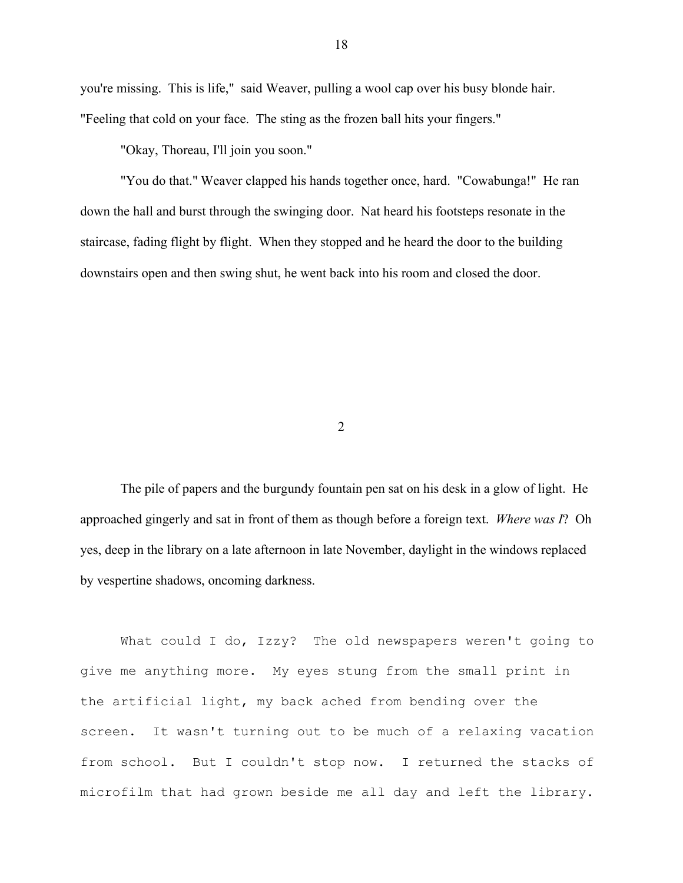you're missing. This is life," said Weaver, pulling a wool cap over his busy blonde hair. "Feeling that cold on your face. The sting as the frozen ball hits your fingers."

"Okay, Thoreau, I'll join you soon."

"You do that." Weaver clapped his hands together once, hard. "Cowabunga!" He ran down the hall and burst through the swinging door. Nat heard his footsteps resonate in the staircase, fading flight by flight. When they stopped and he heard the door to the building downstairs open and then swing shut, he went back into his room and closed the door.

2

The pile of papers and the burgundy fountain pen sat on his desk in a glow of light. He approached gingerly and sat in front of them as though before a foreign text. *Where was I*? Oh yes, deep in the library on a late afternoon in late November, daylight in the windows replaced by vespertine shadows, oncoming darkness.

What could I do, Izzy? The old newspapers weren't going to give me anything more. My eyes stung from the small print in the artificial light, my back ached from bending over the screen. It wasn't turning out to be much of a relaxing vacation from school. But I couldn't stop now. I returned the stacks of microfilm that had grown beside me all day and left the library.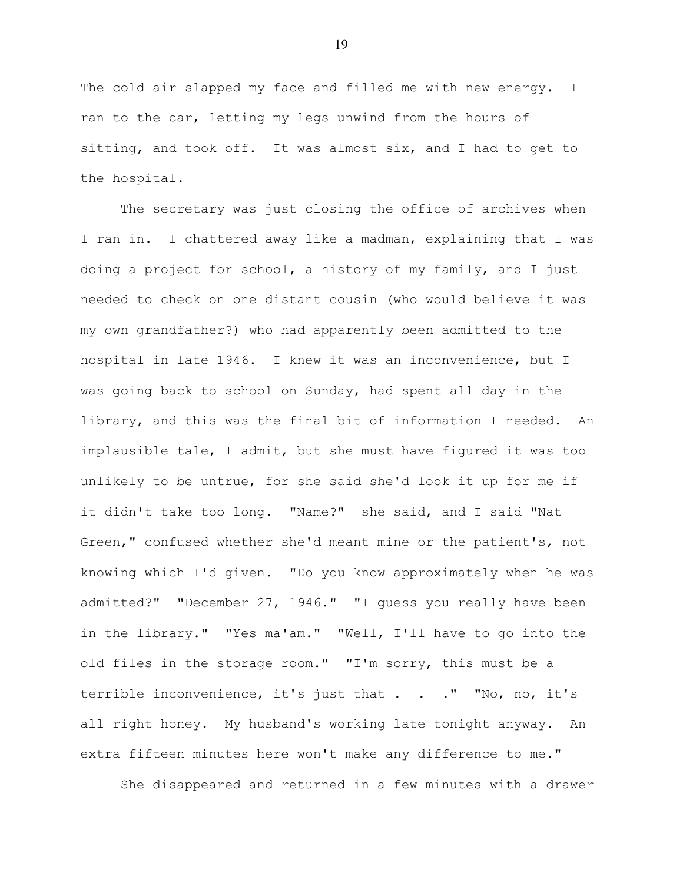The cold air slapped my face and filled me with new energy. I ran to the car, letting my legs unwind from the hours of sitting, and took off. It was almost six, and I had to get to the hospital.

The secretary was just closing the office of archives when I ran in. I chattered away like a madman, explaining that I was doing a project for school, a history of my family, and I just needed to check on one distant cousin (who would believe it was my own grandfather?) who had apparently been admitted to the hospital in late 1946. I knew it was an inconvenience, but I was going back to school on Sunday, had spent all day in the library, and this was the final bit of information I needed. An implausible tale, I admit, but she must have figured it was too unlikely to be untrue, for she said she'd look it up for me if it didn't take too long. "Name?" she said, and I said "Nat Green," confused whether she'd meant mine or the patient's, not knowing which I'd given. "Do you know approximately when he was admitted?" "December 27, 1946." "I guess you really have been in the library." "Yes ma'am." "Well, I'll have to go into the old files in the storage room." "I'm sorry, this must be a terrible inconvenience, it's just that . . . " "No, no, it's all right honey. My husband's working late tonight anyway. An extra fifteen minutes here won't make any difference to me."

She disappeared and returned in a few minutes with a drawer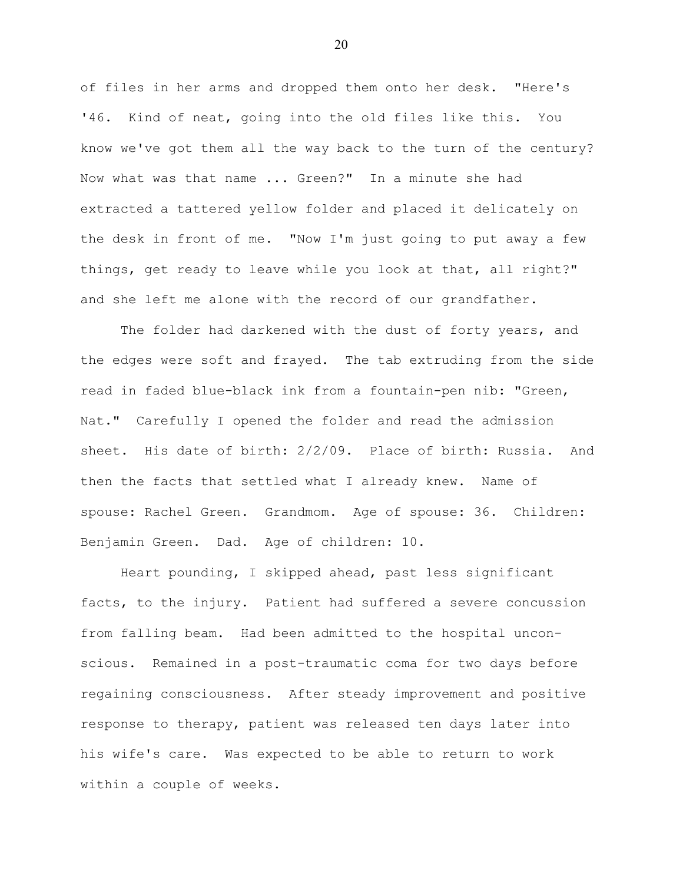of files in her arms and dropped them onto her desk. "Here's '46. Kind of neat, going into the old files like this. You know we've got them all the way back to the turn of the century? Now what was that name ... Green?" In a minute she had extracted a tattered yellow folder and placed it delicately on the desk in front of me. "Now I'm just going to put away a few things, get ready to leave while you look at that, all right?" and she left me alone with the record of our grandfather.

The folder had darkened with the dust of forty years, and the edges were soft and frayed. The tab extruding from the side read in faded blue-black ink from a fountain-pen nib: "Green, Nat." Carefully I opened the folder and read the admission sheet. His date of birth: 2/2/09. Place of birth: Russia. And then the facts that settled what I already knew. Name of spouse: Rachel Green. Grandmom. Age of spouse: 36. Children: Benjamin Green. Dad. Age of children: 10.

Heart pounding, I skipped ahead, past less significant facts, to the injury. Patient had suffered a severe concussion from falling beam. Had been admitted to the hospital unconscious. Remained in a post-traumatic coma for two days before regaining consciousness. After steady improvement and positive response to therapy, patient was released ten days later into his wife's care. Was expected to be able to return to work within a couple of weeks.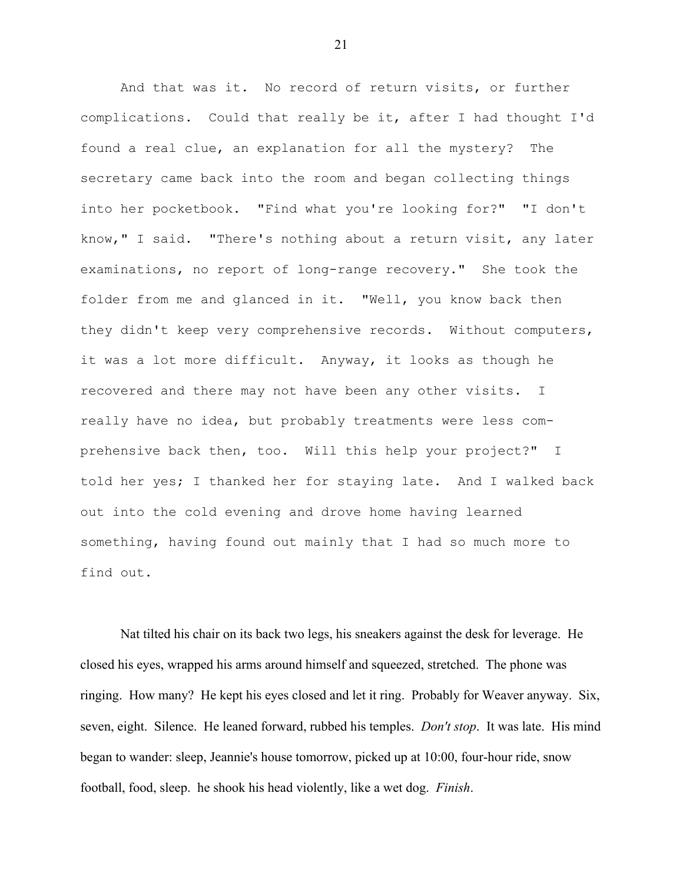And that was it. No record of return visits, or further complications. Could that really be it, after I had thought I'd found a real clue, an explanation for all the mystery? The secretary came back into the room and began collecting things into her pocketbook. "Find what you're looking for?" "I don't know," I said. "There's nothing about a return visit, any later examinations, no report of long-range recovery." She took the folder from me and glanced in it. "Well, you know back then they didn't keep very comprehensive records. Without computers, it was a lot more difficult. Anyway, it looks as though he recovered and there may not have been any other visits. I really have no idea, but probably treatments were less comprehensive back then, too. Will this help your project?" I told her yes; I thanked her for staying late. And I walked back out into the cold evening and drove home having learned something, having found out mainly that I had so much more to find out.

Nat tilted his chair on its back two legs, his sneakers against the desk for leverage. He closed his eyes, wrapped his arms around himself and squeezed, stretched. The phone was ringing. How many? He kept his eyes closed and let it ring. Probably for Weaver anyway. Six, seven, eight. Silence. He leaned forward, rubbed his temples. *Don't stop*. It was late. His mind began to wander: sleep, Jeannie's house tomorrow, picked up at 10:00, four-hour ride, snow football, food, sleep. he shook his head violently, like a wet dog. *Finish*.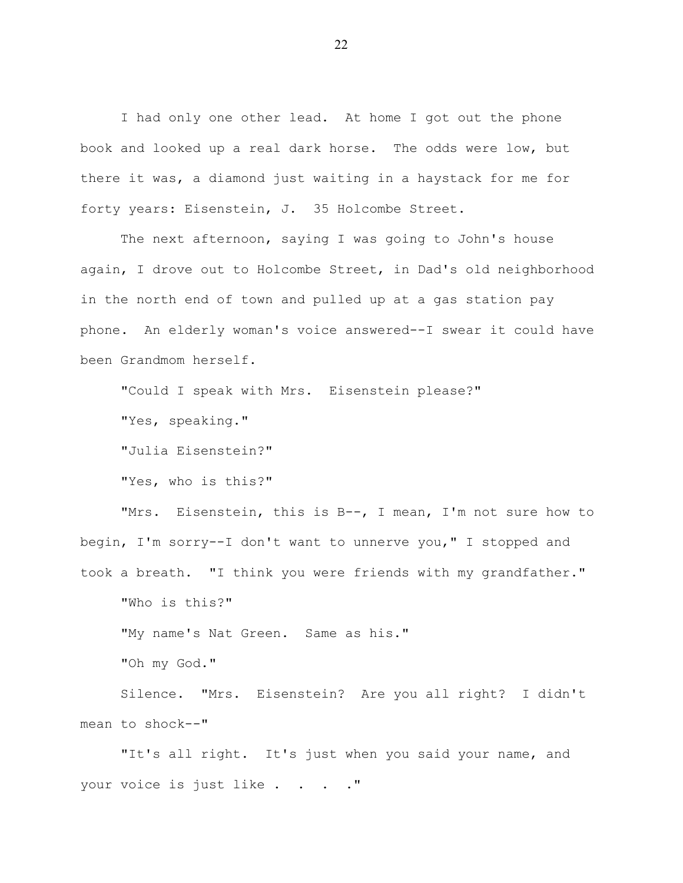I had only one other lead. At home I got out the phone book and looked up a real dark horse. The odds were low, but there it was, a diamond just waiting in a haystack for me for forty years: Eisenstein, J. 35 Holcombe Street.

The next afternoon, saying I was going to John's house again, I drove out to Holcombe Street, in Dad's old neighborhood in the north end of town and pulled up at a gas station pay phone. An elderly woman's voice answered--I swear it could have been Grandmom herself.

"Could I speak with Mrs. Eisenstein please?"

"Yes, speaking."

"Julia Eisenstein?"

"Yes, who is this?"

"Mrs. Eisenstein, this is B--, I mean, I'm not sure how to begin, I'm sorry--I don't want to unnerve you," I stopped and took a breath. "I think you were friends with my grandfather."

"Who is this?"

"My name's Nat Green. Same as his."

"Oh my God."

Silence. "Mrs. Eisenstein? Are you all right? I didn't mean to shock--"

"It's all right. It's just when you said your name, and your voice is just like . . . . "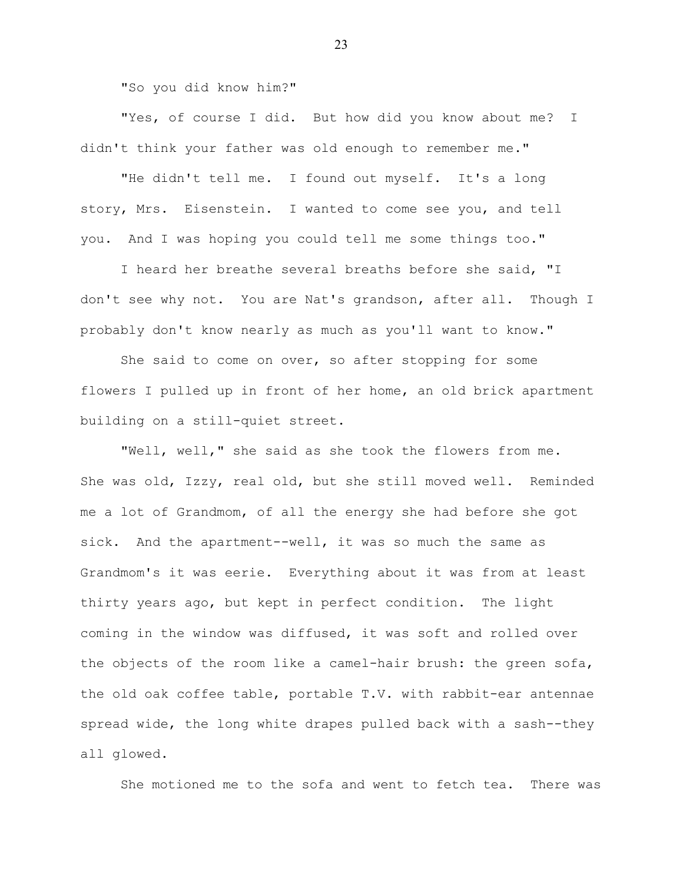"So you did know him?"

"Yes, of course I did. But how did you know about me? I didn't think your father was old enough to remember me."

"He didn't tell me. I found out myself. It's a long story, Mrs. Eisenstein. I wanted to come see you, and tell you. And I was hoping you could tell me some things too."

I heard her breathe several breaths before she said, "I don't see why not. You are Nat's grandson, after all. Though I probably don't know nearly as much as you'll want to know."

She said to come on over, so after stopping for some flowers I pulled up in front of her home, an old brick apartment building on a still-quiet street.

"Well, well," she said as she took the flowers from me. She was old, Izzy, real old, but she still moved well. Reminded me a lot of Grandmom, of all the energy she had before she got sick. And the apartment--well, it was so much the same as Grandmom's it was eerie. Everything about it was from at least thirty years ago, but kept in perfect condition. The light coming in the window was diffused, it was soft and rolled over the objects of the room like a camel-hair brush: the green sofa, the old oak coffee table, portable T.V. with rabbit-ear antennae spread wide, the long white drapes pulled back with a sash--they all glowed.

She motioned me to the sofa and went to fetch tea. There was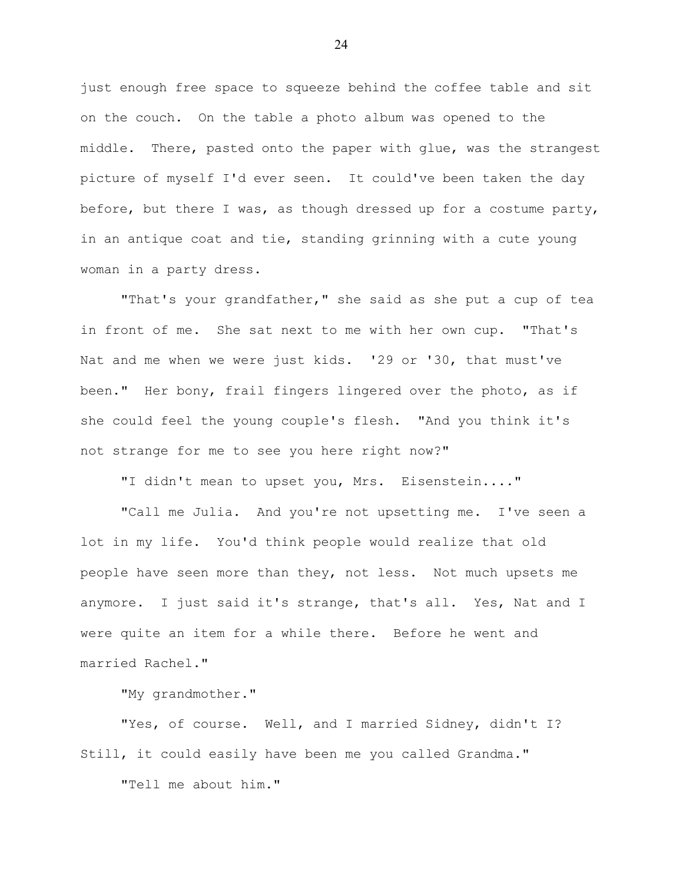just enough free space to squeeze behind the coffee table and sit on the couch. On the table a photo album was opened to the middle. There, pasted onto the paper with glue, was the strangest picture of myself I'd ever seen. It could've been taken the day before, but there I was, as though dressed up for a costume party, in an antique coat and tie, standing grinning with a cute young woman in a party dress.

"That's your grandfather," she said as she put a cup of tea in front of me. She sat next to me with her own cup. "That's Nat and me when we were just kids. '29 or '30, that must've been." Her bony, frail fingers lingered over the photo, as if she could feel the young couple's flesh. "And you think it's not strange for me to see you here right now?"

"I didn't mean to upset you, Mrs. Eisenstein...."

"Call me Julia. And you're not upsetting me. I've seen a lot in my life. You'd think people would realize that old people have seen more than they, not less. Not much upsets me anymore. I just said it's strange, that's all. Yes, Nat and I were quite an item for a while there. Before he went and married Rachel."

"My grandmother."

"Yes, of course. Well, and I married Sidney, didn't I? Still, it could easily have been me you called Grandma."

"Tell me about him."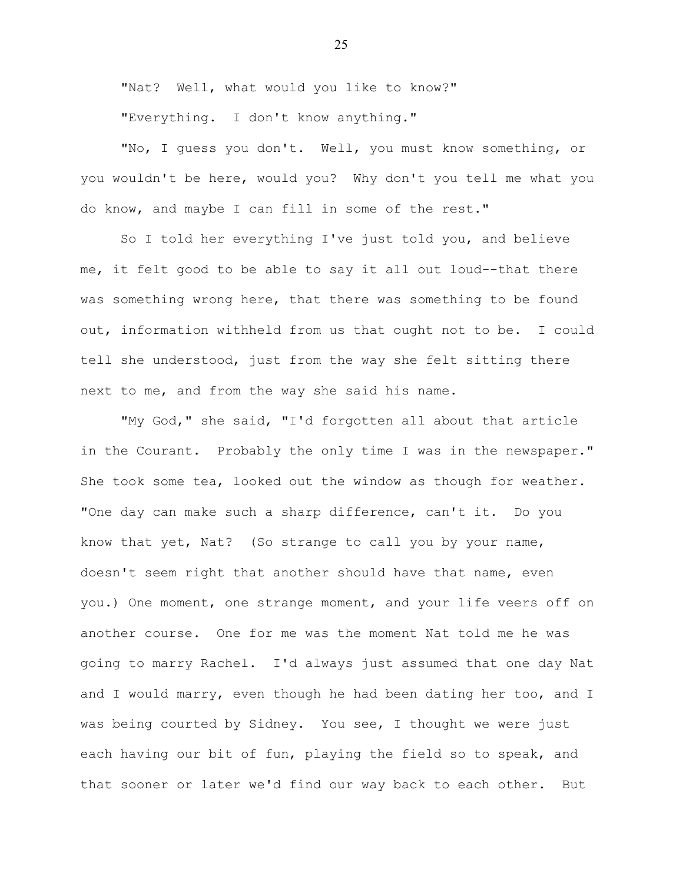"Nat? Well, what would you like to know?"

"Everything. I don't know anything."

"No, I guess you don't. Well, you must know something, or you wouldn't be here, would you? Why don't you tell me what you do know, and maybe I can fill in some of the rest."

So I told her everything I've just told you, and believe me, it felt good to be able to say it all out loud--that there was something wrong here, that there was something to be found out, information withheld from us that ought not to be. I could tell she understood, just from the way she felt sitting there next to me, and from the way she said his name.

"My God," she said, "I'd forgotten all about that article in the Courant. Probably the only time I was in the newspaper." She took some tea, looked out the window as though for weather. "One day can make such a sharp difference, can't it. Do you know that yet, Nat? (So strange to call you by your name, doesn't seem right that another should have that name, even you.) One moment, one strange moment, and your life veers off on another course. One for me was the moment Nat told me he was going to marry Rachel. I'd always just assumed that one day Nat and I would marry, even though he had been dating her too, and I was being courted by Sidney. You see, I thought we were just each having our bit of fun, playing the field so to speak, and that sooner or later we'd find our way back to each other. But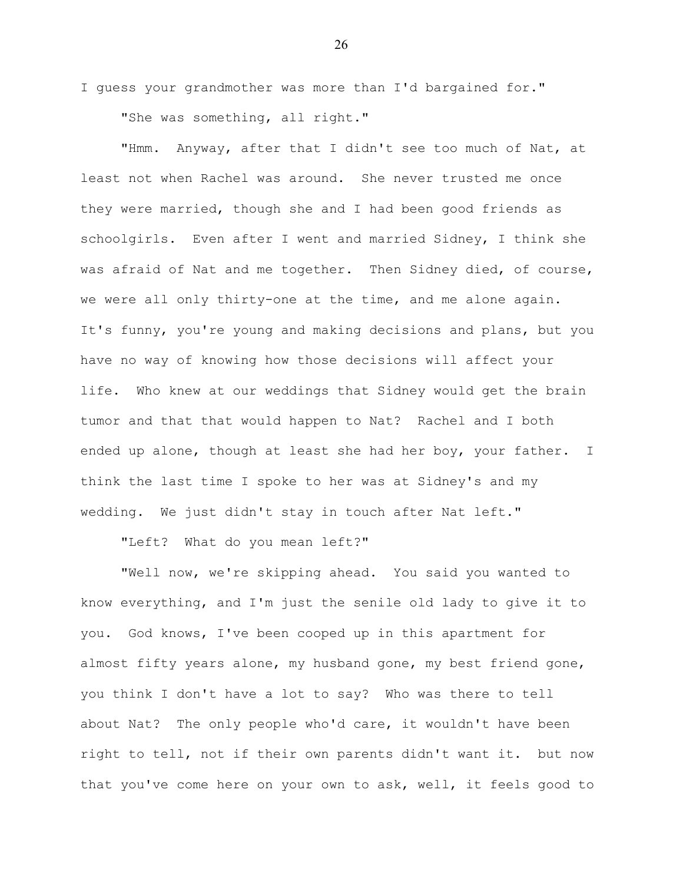I guess your grandmother was more than I'd bargained for." "She was something, all right."

"Hmm. Anyway, after that I didn't see too much of Nat, at least not when Rachel was around. She never trusted me once they were married, though she and I had been good friends as schoolgirls. Even after I went and married Sidney, I think she was afraid of Nat and me together. Then Sidney died, of course, we were all only thirty-one at the time, and me alone again. It's funny, you're young and making decisions and plans, but you have no way of knowing how those decisions will affect your life. Who knew at our weddings that Sidney would get the brain tumor and that that would happen to Nat? Rachel and I both ended up alone, though at least she had her boy, your father. I think the last time I spoke to her was at Sidney's and my wedding. We just didn't stay in touch after Nat left."

"Left? What do you mean left?"

"Well now, we're skipping ahead. You said you wanted to know everything, and I'm just the senile old lady to give it to you. God knows, I've been cooped up in this apartment for almost fifty years alone, my husband gone, my best friend gone, you think I don't have a lot to say? Who was there to tell about Nat? The only people who'd care, it wouldn't have been right to tell, not if their own parents didn't want it. but now that you've come here on your own to ask, well, it feels good to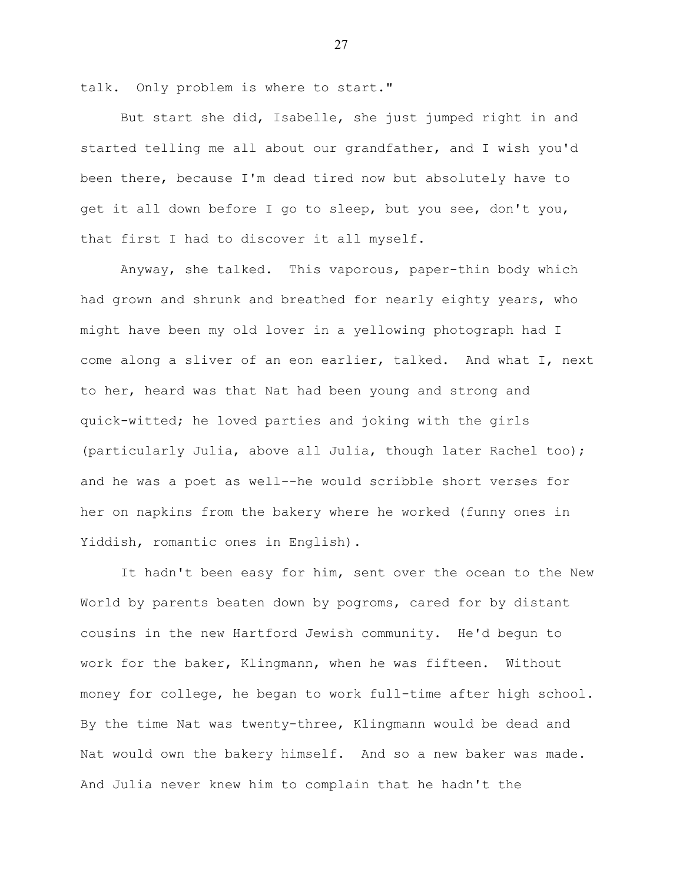talk. Only problem is where to start."

But start she did, Isabelle, she just jumped right in and started telling me all about our grandfather, and I wish you'd been there, because I'm dead tired now but absolutely have to get it all down before I go to sleep, but you see, don't you, that first I had to discover it all myself.

Anyway, she talked. This vaporous, paper-thin body which had grown and shrunk and breathed for nearly eighty years, who might have been my old lover in a yellowing photograph had I come along a sliver of an eon earlier, talked. And what I, next to her, heard was that Nat had been young and strong and quick-witted; he loved parties and joking with the girls (particularly Julia, above all Julia, though later Rachel too); and he was a poet as well--he would scribble short verses for her on napkins from the bakery where he worked (funny ones in Yiddish, romantic ones in English).

It hadn't been easy for him, sent over the ocean to the New World by parents beaten down by pogroms, cared for by distant cousins in the new Hartford Jewish community. He'd begun to work for the baker, Klingmann, when he was fifteen. Without money for college, he began to work full-time after high school. By the time Nat was twenty-three, Klingmann would be dead and Nat would own the bakery himself. And so a new baker was made. And Julia never knew him to complain that he hadn't the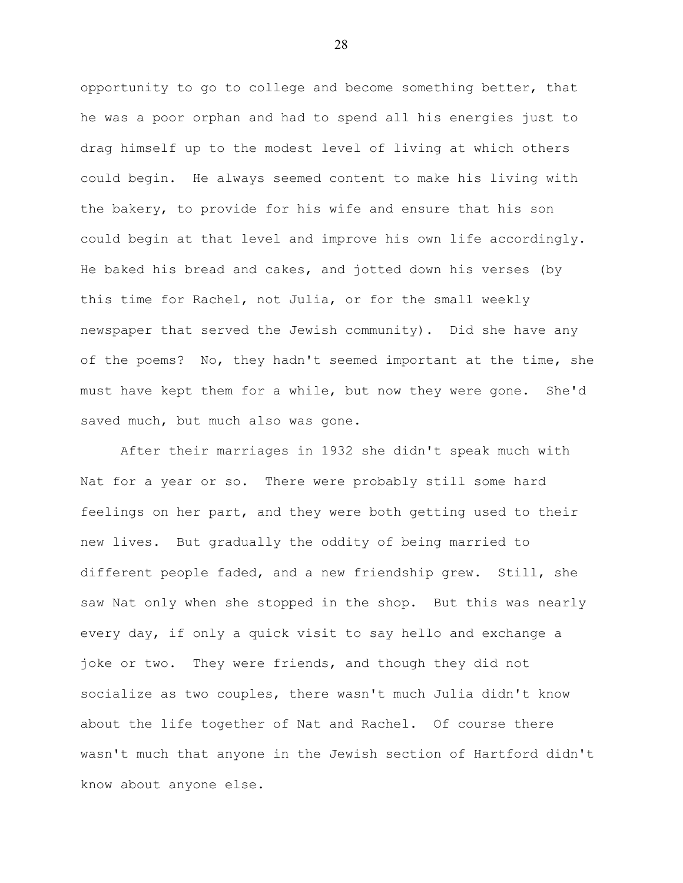opportunity to go to college and become something better, that he was a poor orphan and had to spend all his energies just to drag himself up to the modest level of living at which others could begin. He always seemed content to make his living with the bakery, to provide for his wife and ensure that his son could begin at that level and improve his own life accordingly. He baked his bread and cakes, and jotted down his verses (by this time for Rachel, not Julia, or for the small weekly newspaper that served the Jewish community). Did she have any of the poems? No, they hadn't seemed important at the time, she must have kept them for a while, but now they were gone. She'd saved much, but much also was gone.

After their marriages in 1932 she didn't speak much with Nat for a year or so. There were probably still some hard feelings on her part, and they were both getting used to their new lives. But gradually the oddity of being married to different people faded, and a new friendship grew. Still, she saw Nat only when she stopped in the shop. But this was nearly every day, if only a quick visit to say hello and exchange a joke or two. They were friends, and though they did not socialize as two couples, there wasn't much Julia didn't know about the life together of Nat and Rachel. Of course there wasn't much that anyone in the Jewish section of Hartford didn't know about anyone else.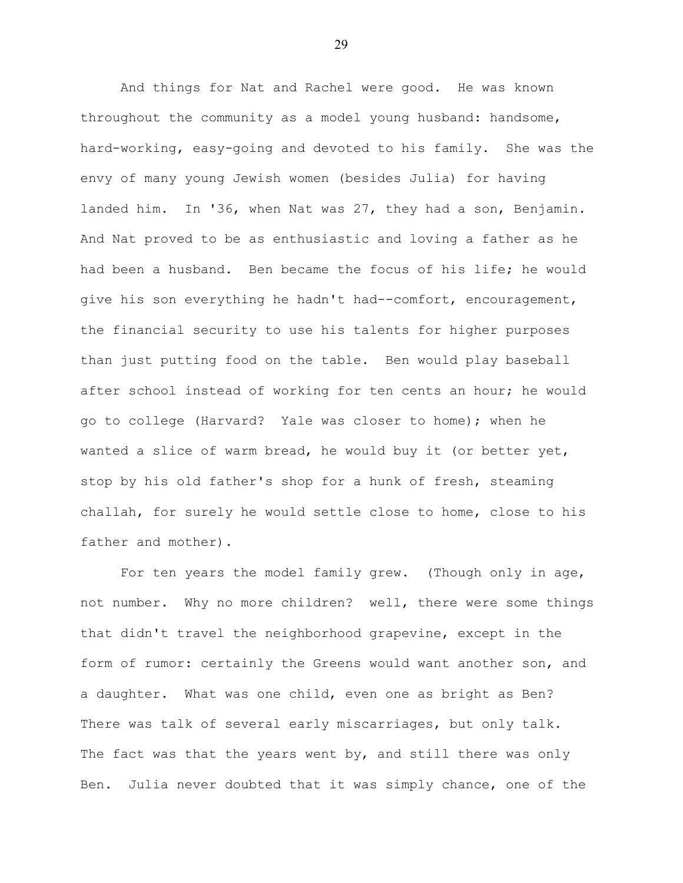And things for Nat and Rachel were good. He was known throughout the community as a model young husband: handsome, hard-working, easy-going and devoted to his family. She was the envy of many young Jewish women (besides Julia) for having landed him. In '36, when Nat was 27, they had a son, Benjamin. And Nat proved to be as enthusiastic and loving a father as he had been a husband. Ben became the focus of his life; he would give his son everything he hadn't had--comfort, encouragement, the financial security to use his talents for higher purposes than just putting food on the table. Ben would play baseball after school instead of working for ten cents an hour; he would go to college (Harvard? Yale was closer to home); when he wanted a slice of warm bread, he would buy it (or better yet, stop by his old father's shop for a hunk of fresh, steaming challah, for surely he would settle close to home, close to his father and mother).

For ten years the model family grew. (Though only in age, not number. Why no more children? well, there were some things that didn't travel the neighborhood grapevine, except in the form of rumor: certainly the Greens would want another son, and a daughter. What was one child, even one as bright as Ben? There was talk of several early miscarriages, but only talk. The fact was that the years went by, and still there was only Ben. Julia never doubted that it was simply chance, one of the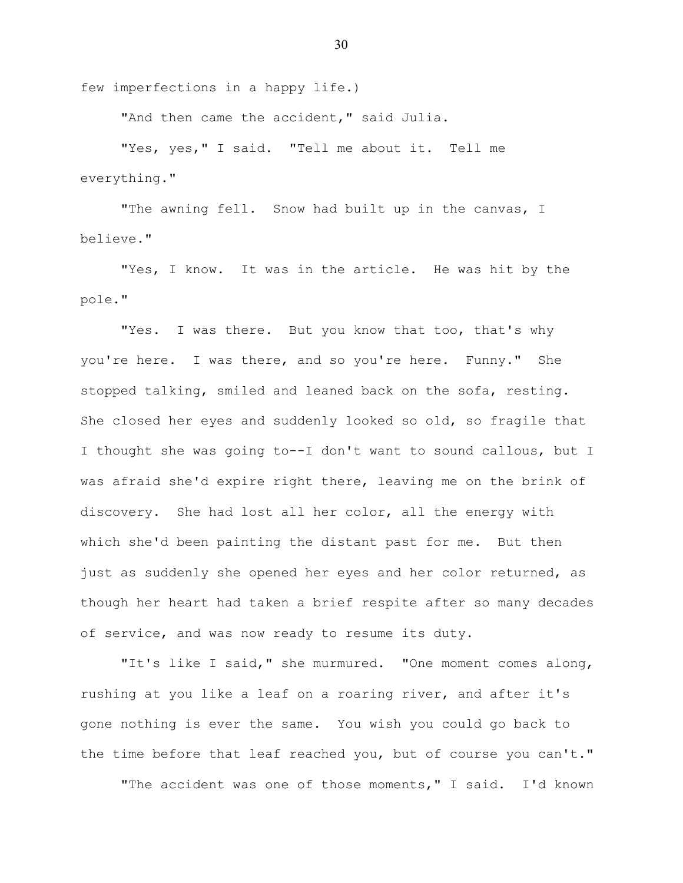few imperfections in a happy life.)

"And then came the accident," said Julia.

"Yes, yes," I said. "Tell me about it. Tell me everything."

"The awning fell. Snow had built up in the canvas, I believe."

"Yes, I know. It was in the article. He was hit by the pole."

"Yes. I was there. But you know that too, that's why you're here. I was there, and so you're here. Funny." She stopped talking, smiled and leaned back on the sofa, resting. She closed her eyes and suddenly looked so old, so fragile that I thought she was going to--I don't want to sound callous, but I was afraid she'd expire right there, leaving me on the brink of discovery. She had lost all her color, all the energy with which she'd been painting the distant past for me. But then just as suddenly she opened her eyes and her color returned, as though her heart had taken a brief respite after so many decades of service, and was now ready to resume its duty.

"It's like I said," she murmured. "One moment comes along, rushing at you like a leaf on a roaring river, and after it's gone nothing is ever the same. You wish you could go back to the time before that leaf reached you, but of course you can't."

"The accident was one of those moments," I said. I'd known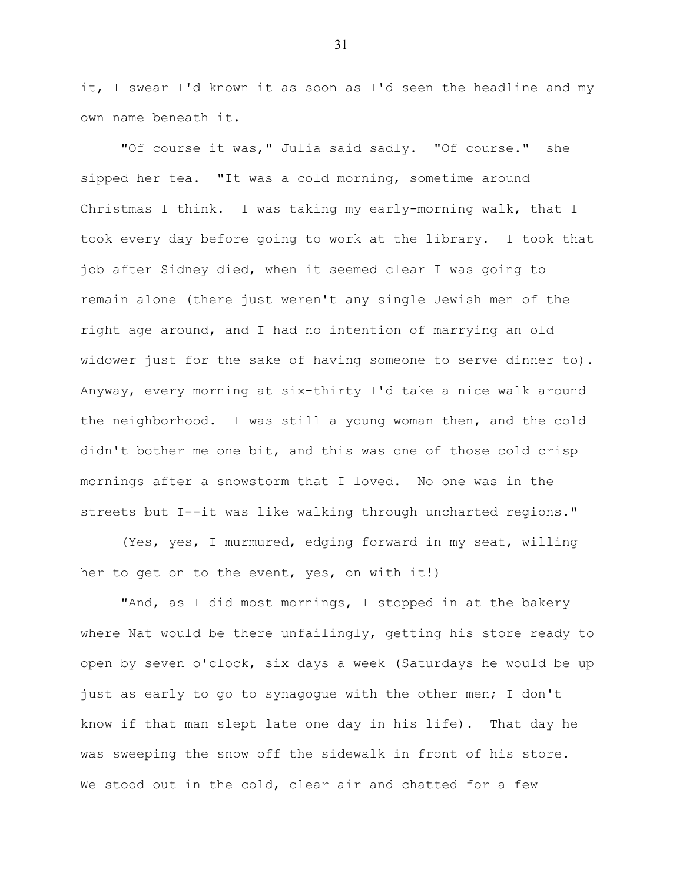it, I swear I'd known it as soon as I'd seen the headline and my own name beneath it.

"Of course it was," Julia said sadly. "Of course." she sipped her tea. "It was a cold morning, sometime around Christmas I think. I was taking my early-morning walk, that I took every day before going to work at the library. I took that job after Sidney died, when it seemed clear I was going to remain alone (there just weren't any single Jewish men of the right age around, and I had no intention of marrying an old widower just for the sake of having someone to serve dinner to). Anyway, every morning at six-thirty I'd take a nice walk around the neighborhood. I was still a young woman then, and the cold didn't bother me one bit, and this was one of those cold crisp mornings after a snowstorm that I loved. No one was in the streets but I--it was like walking through uncharted regions."

(Yes, yes, I murmured, edging forward in my seat, willing her to get on to the event, yes, on with it!)

"And, as I did most mornings, I stopped in at the bakery where Nat would be there unfailingly, getting his store ready to open by seven o'clock, six days a week (Saturdays he would be up just as early to go to synagogue with the other men; I don't know if that man slept late one day in his life). That day he was sweeping the snow off the sidewalk in front of his store. We stood out in the cold, clear air and chatted for a few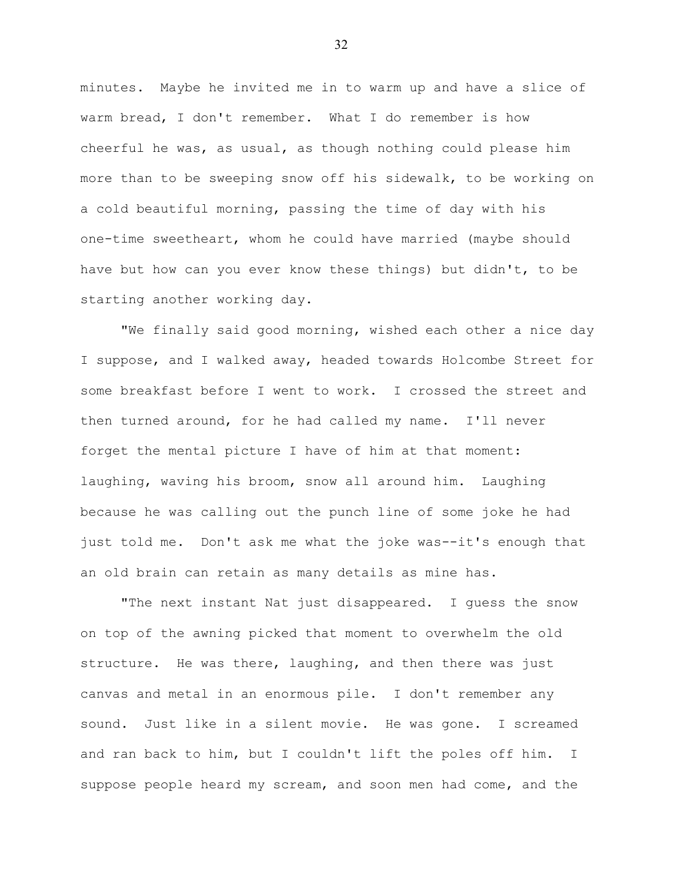minutes. Maybe he invited me in to warm up and have a slice of warm bread, I don't remember. What I do remember is how cheerful he was, as usual, as though nothing could please him more than to be sweeping snow off his sidewalk, to be working on a cold beautiful morning, passing the time of day with his one-time sweetheart, whom he could have married (maybe should have but how can you ever know these things) but didn't, to be starting another working day.

"We finally said good morning, wished each other a nice day I suppose, and I walked away, headed towards Holcombe Street for some breakfast before I went to work. I crossed the street and then turned around, for he had called my name. I'll never forget the mental picture I have of him at that moment: laughing, waving his broom, snow all around him. Laughing because he was calling out the punch line of some joke he had just told me. Don't ask me what the joke was--it's enough that an old brain can retain as many details as mine has.

"The next instant Nat just disappeared. I guess the snow on top of the awning picked that moment to overwhelm the old structure. He was there, laughing, and then there was just canvas and metal in an enormous pile. I don't remember any sound. Just like in a silent movie. He was gone. I screamed and ran back to him, but I couldn't lift the poles off him. I suppose people heard my scream, and soon men had come, and the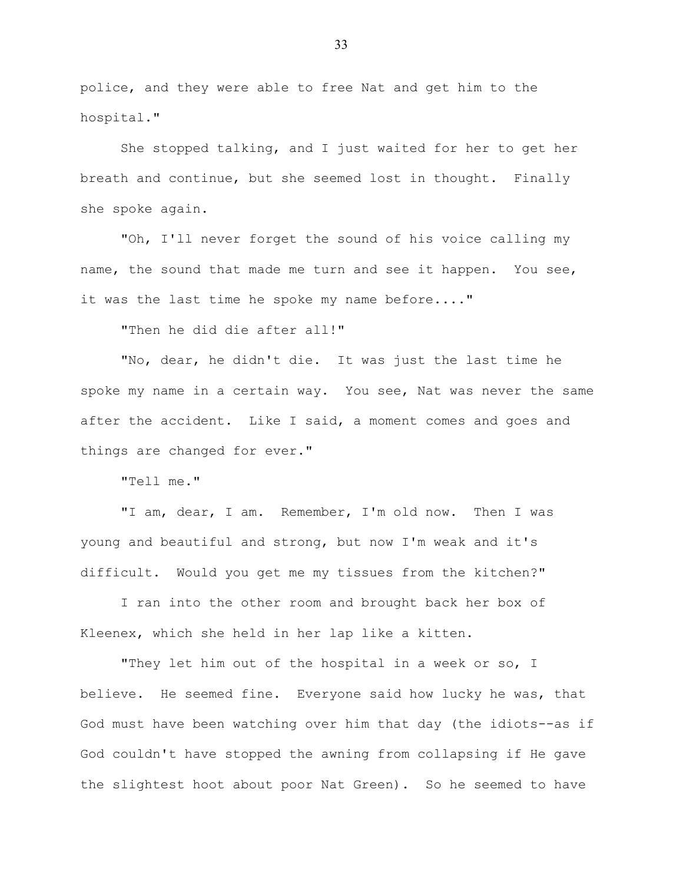police, and they were able to free Nat and get him to the hospital."

She stopped talking, and I just waited for her to get her breath and continue, but she seemed lost in thought. Finally she spoke again.

"Oh, I'll never forget the sound of his voice calling my name, the sound that made me turn and see it happen. You see, it was the last time he spoke my name before...."

"Then he did die after all!"

"No, dear, he didn't die. It was just the last time he spoke my name in a certain way. You see, Nat was never the same after the accident. Like I said, a moment comes and goes and things are changed for ever."

"Tell me."

"I am, dear, I am. Remember, I'm old now. Then I was young and beautiful and strong, but now I'm weak and it's difficult. Would you get me my tissues from the kitchen?"

I ran into the other room and brought back her box of Kleenex, which she held in her lap like a kitten.

"They let him out of the hospital in a week or so, I believe. He seemed fine. Everyone said how lucky he was, that God must have been watching over him that day (the idiots--as if God couldn't have stopped the awning from collapsing if He gave the slightest hoot about poor Nat Green). So he seemed to have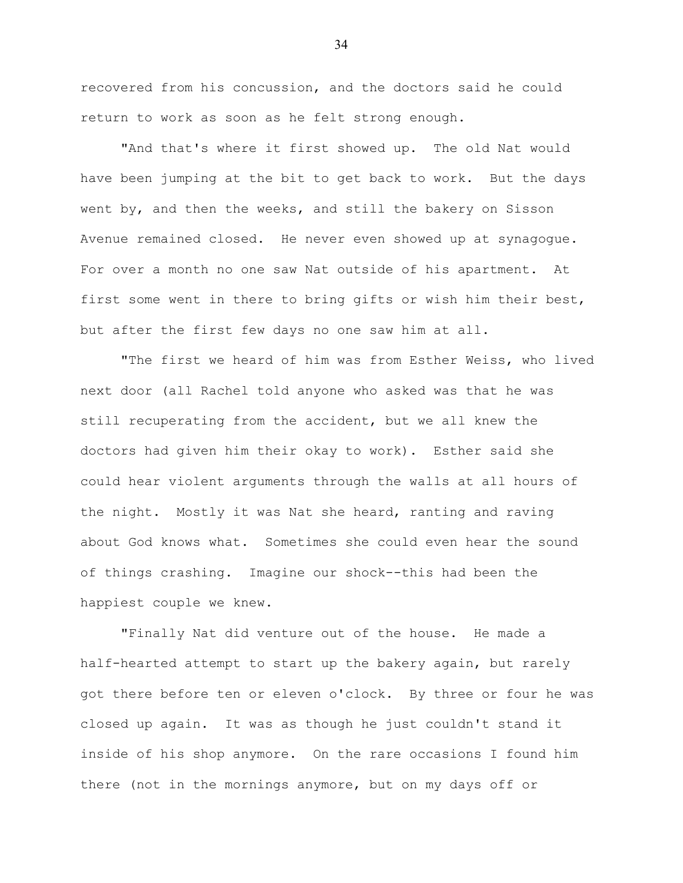recovered from his concussion, and the doctors said he could return to work as soon as he felt strong enough.

"And that's where it first showed up. The old Nat would have been jumping at the bit to get back to work. But the days went by, and then the weeks, and still the bakery on Sisson Avenue remained closed. He never even showed up at synagogue. For over a month no one saw Nat outside of his apartment. At first some went in there to bring gifts or wish him their best, but after the first few days no one saw him at all.

"The first we heard of him was from Esther Weiss, who lived next door (all Rachel told anyone who asked was that he was still recuperating from the accident, but we all knew the doctors had given him their okay to work). Esther said she could hear violent arguments through the walls at all hours of the night. Mostly it was Nat she heard, ranting and raving about God knows what. Sometimes she could even hear the sound of things crashing. Imagine our shock--this had been the happiest couple we knew.

"Finally Nat did venture out of the house. He made a half-hearted attempt to start up the bakery again, but rarely got there before ten or eleven o'clock. By three or four he was closed up again. It was as though he just couldn't stand it inside of his shop anymore. On the rare occasions I found him there (not in the mornings anymore, but on my days off or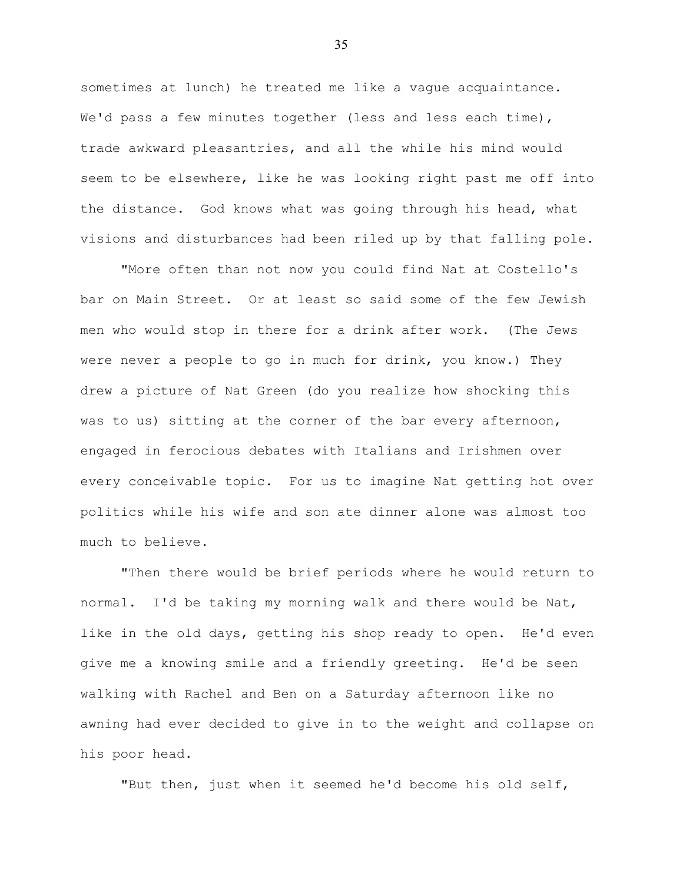sometimes at lunch) he treated me like a vague acquaintance. We'd pass a few minutes together (less and less each time), trade awkward pleasantries, and all the while his mind would seem to be elsewhere, like he was looking right past me off into the distance. God knows what was going through his head, what visions and disturbances had been riled up by that falling pole.

"More often than not now you could find Nat at Costello's bar on Main Street. Or at least so said some of the few Jewish men who would stop in there for a drink after work. (The Jews were never a people to go in much for drink, you know.) They drew a picture of Nat Green (do you realize how shocking this was to us) sitting at the corner of the bar every afternoon, engaged in ferocious debates with Italians and Irishmen over every conceivable topic. For us to imagine Nat getting hot over politics while his wife and son ate dinner alone was almost too much to believe.

"Then there would be brief periods where he would return to normal. I'd be taking my morning walk and there would be Nat, like in the old days, getting his shop ready to open. He'd even give me a knowing smile and a friendly greeting. He'd be seen walking with Rachel and Ben on a Saturday afternoon like no awning had ever decided to give in to the weight and collapse on his poor head.

"But then, just when it seemed he'd become his old self,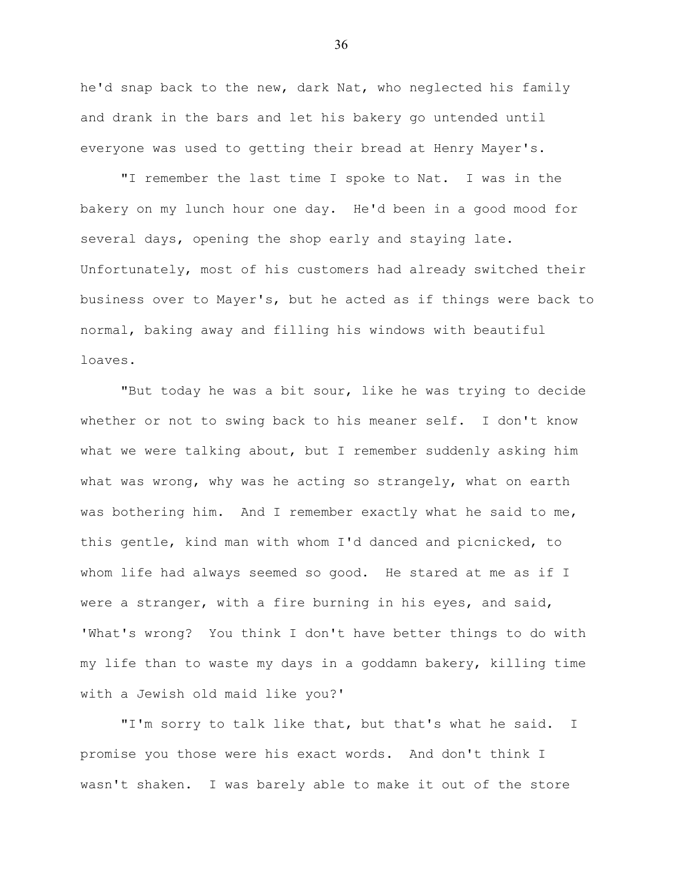he'd snap back to the new, dark Nat, who neglected his family and drank in the bars and let his bakery go untended until everyone was used to getting their bread at Henry Mayer's.

"I remember the last time I spoke to Nat. I was in the bakery on my lunch hour one day. He'd been in a good mood for several days, opening the shop early and staying late. Unfortunately, most of his customers had already switched their business over to Mayer's, but he acted as if things were back to normal, baking away and filling his windows with beautiful loaves.

"But today he was a bit sour, like he was trying to decide whether or not to swing back to his meaner self. I don't know what we were talking about, but I remember suddenly asking him what was wrong, why was he acting so strangely, what on earth was bothering him. And I remember exactly what he said to me, this gentle, kind man with whom I'd danced and picnicked, to whom life had always seemed so good. He stared at me as if I were a stranger, with a fire burning in his eyes, and said, 'What's wrong? You think I don't have better things to do with my life than to waste my days in a goddamn bakery, killing time with a Jewish old maid like you?'

"I'm sorry to talk like that, but that's what he said. I promise you those were his exact words. And don't think I wasn't shaken. I was barely able to make it out of the store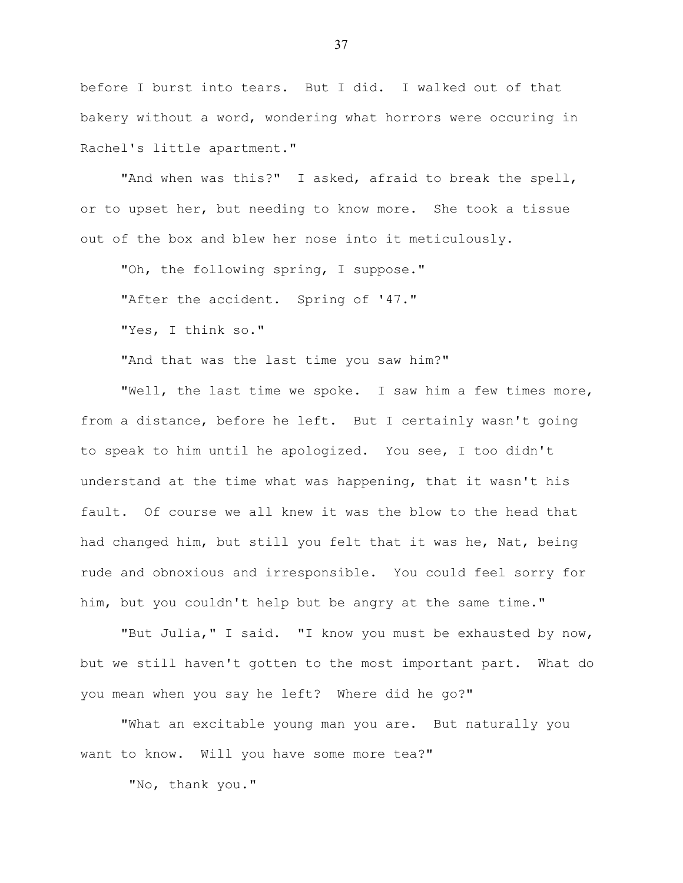before I burst into tears. But I did. I walked out of that bakery without a word, wondering what horrors were occuring in Rachel's little apartment."

"And when was this?" I asked, afraid to break the spell, or to upset her, but needing to know more. She took a tissue out of the box and blew her nose into it meticulously.

"Oh, the following spring, I suppose."

"After the accident. Spring of '47."

"Yes, I think so."

"And that was the last time you saw him?"

"Well, the last time we spoke. I saw him a few times more, from a distance, before he left. But I certainly wasn't going to speak to him until he apologized. You see, I too didn't understand at the time what was happening, that it wasn't his fault. Of course we all knew it was the blow to the head that had changed him, but still you felt that it was he, Nat, being rude and obnoxious and irresponsible. You could feel sorry for him, but you couldn't help but be angry at the same time."

"But Julia," I said. "I know you must be exhausted by now, but we still haven't gotten to the most important part. What do you mean when you say he left? Where did he go?"

"What an excitable young man you are. But naturally you want to know. Will you have some more tea?"

"No, thank you."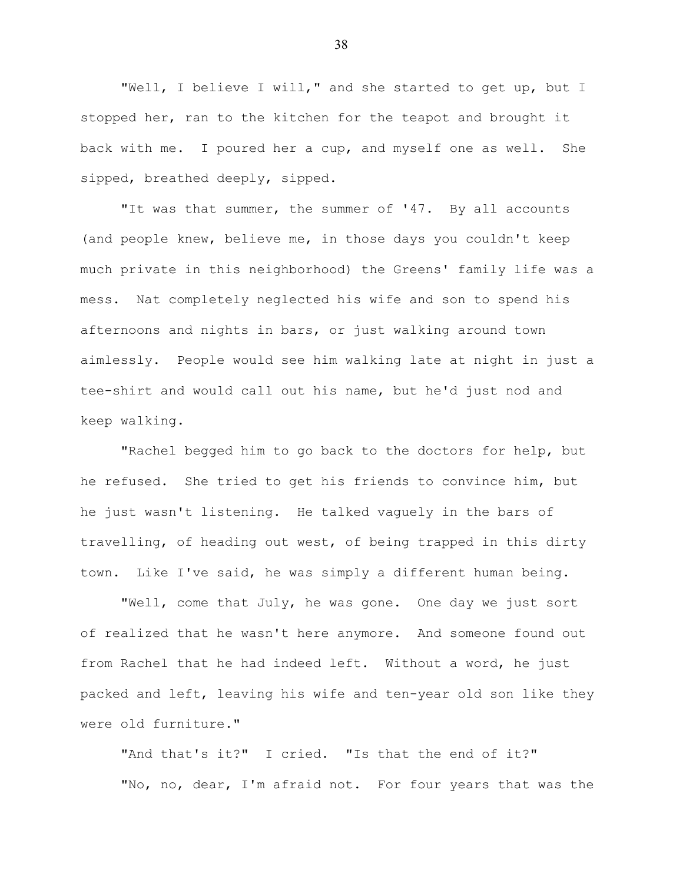"Well, I believe I will," and she started to get up, but I stopped her, ran to the kitchen for the teapot and brought it back with me. I poured her a cup, and myself one as well. She sipped, breathed deeply, sipped.

"It was that summer, the summer of '47. By all accounts (and people knew, believe me, in those days you couldn't keep much private in this neighborhood) the Greens' family life was a mess. Nat completely neglected his wife and son to spend his afternoons and nights in bars, or just walking around town aimlessly. People would see him walking late at night in just a tee-shirt and would call out his name, but he'd just nod and keep walking.

"Rachel begged him to go back to the doctors for help, but he refused. She tried to get his friends to convince him, but he just wasn't listening. He talked vaguely in the bars of travelling, of heading out west, of being trapped in this dirty town. Like I've said, he was simply a different human being.

"Well, come that July, he was gone. One day we just sort of realized that he wasn't here anymore. And someone found out from Rachel that he had indeed left. Without a word, he just packed and left, leaving his wife and ten-year old son like they were old furniture."

"And that's it?" I cried. "Is that the end of it?" "No, no, dear, I'm afraid not. For four years that was the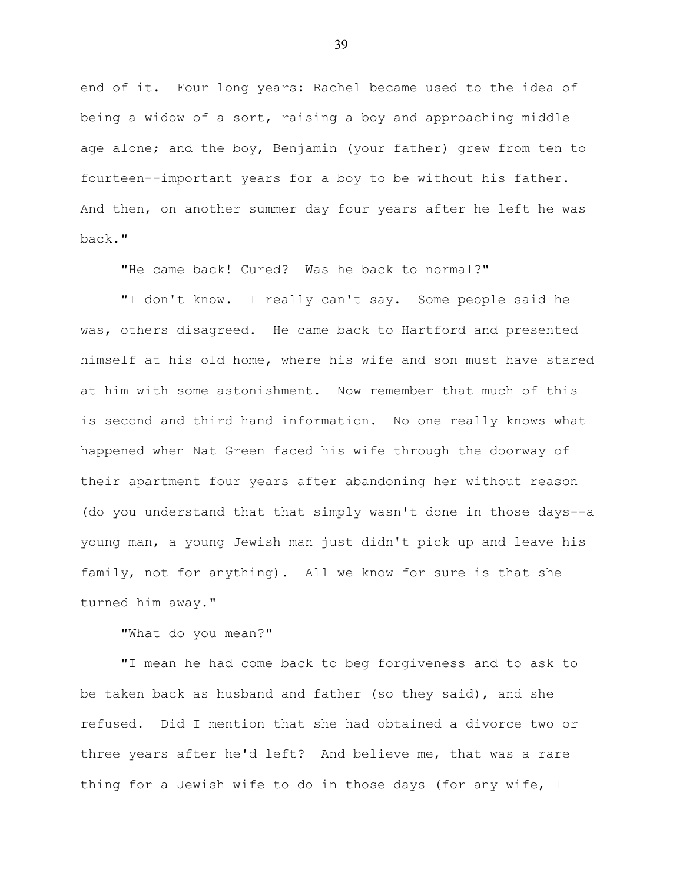end of it. Four long years: Rachel became used to the idea of being a widow of a sort, raising a boy and approaching middle age alone; and the boy, Benjamin (your father) grew from ten to fourteen--important years for a boy to be without his father. And then, on another summer day four years after he left he was back."

"He came back! Cured? Was he back to normal?"

"I don't know. I really can't say. Some people said he was, others disagreed. He came back to Hartford and presented himself at his old home, where his wife and son must have stared at him with some astonishment. Now remember that much of this is second and third hand information. No one really knows what happened when Nat Green faced his wife through the doorway of their apartment four years after abandoning her without reason (do you understand that that simply wasn't done in those days--a young man, a young Jewish man just didn't pick up and leave his family, not for anything). All we know for sure is that she turned him away."

## "What do you mean?"

"I mean he had come back to beg forgiveness and to ask to be taken back as husband and father (so they said), and she refused. Did I mention that she had obtained a divorce two or three years after he'd left? And believe me, that was a rare thing for a Jewish wife to do in those days (for any wife, I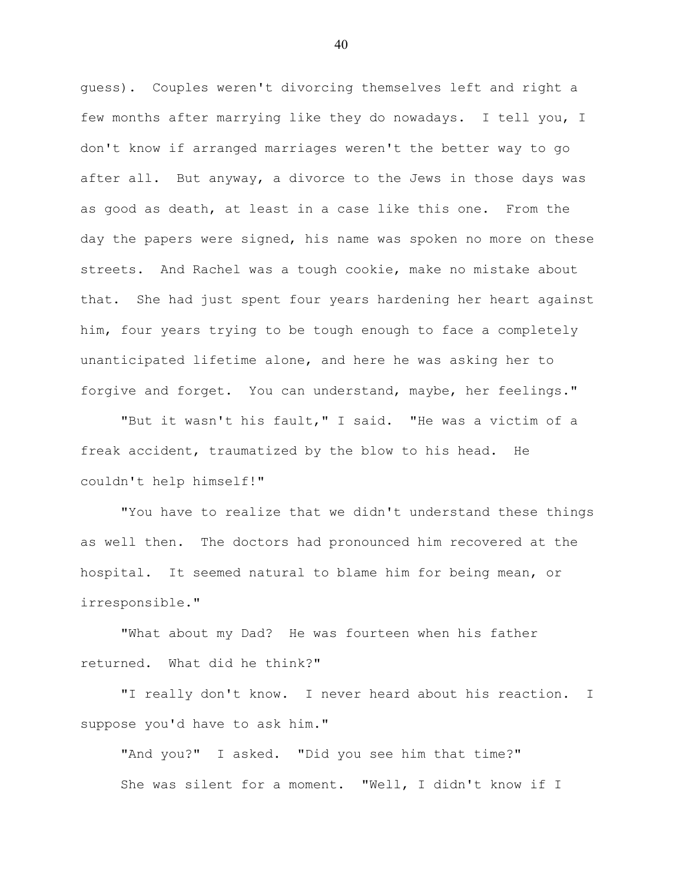guess). Couples weren't divorcing themselves left and right a few months after marrying like they do nowadays. I tell you, I don't know if arranged marriages weren't the better way to go after all. But anyway, a divorce to the Jews in those days was as good as death, at least in a case like this one. From the day the papers were signed, his name was spoken no more on these streets. And Rachel was a tough cookie, make no mistake about that. She had just spent four years hardening her heart against him, four years trying to be tough enough to face a completely unanticipated lifetime alone, and here he was asking her to forgive and forget. You can understand, maybe, her feelings."

"But it wasn't his fault," I said. "He was a victim of a freak accident, traumatized by the blow to his head. He couldn't help himself!"

"You have to realize that we didn't understand these things as well then. The doctors had pronounced him recovered at the hospital. It seemed natural to blame him for being mean, or irresponsible."

"What about my Dad? He was fourteen when his father returned. What did he think?"

"I really don't know. I never heard about his reaction. I suppose you'd have to ask him."

"And you?" I asked. "Did you see him that time?" She was silent for a moment. "Well, I didn't know if I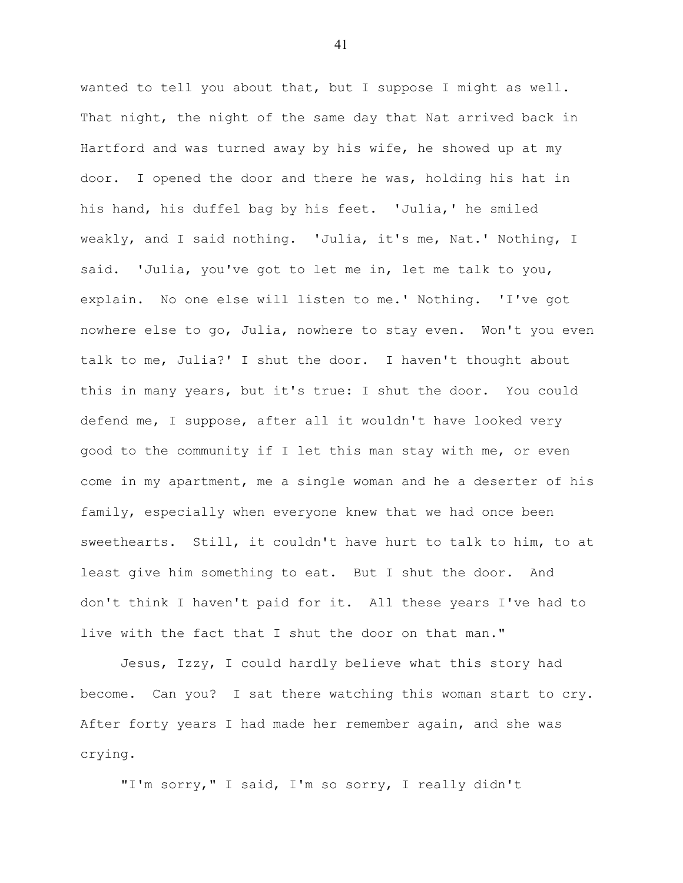wanted to tell you about that, but I suppose I might as well. That night, the night of the same day that Nat arrived back in Hartford and was turned away by his wife, he showed up at my door. I opened the door and there he was, holding his hat in his hand, his duffel bag by his feet. 'Julia,' he smiled weakly, and I said nothing. 'Julia, it's me, Nat.' Nothing, I said. 'Julia, you've got to let me in, let me talk to you, explain. No one else will listen to me.' Nothing. 'I've got nowhere else to go, Julia, nowhere to stay even. Won't you even talk to me, Julia?' I shut the door. I haven't thought about this in many years, but it's true: I shut the door. You could defend me, I suppose, after all it wouldn't have looked very good to the community if I let this man stay with me, or even come in my apartment, me a single woman and he a deserter of his family, especially when everyone knew that we had once been sweethearts. Still, it couldn't have hurt to talk to him, to at least give him something to eat. But I shut the door. And don't think I haven't paid for it. All these years I've had to live with the fact that I shut the door on that man."

Jesus, Izzy, I could hardly believe what this story had become. Can you? I sat there watching this woman start to cry. After forty years I had made her remember again, and she was crying.

"I'm sorry," I said, I'm so sorry, I really didn't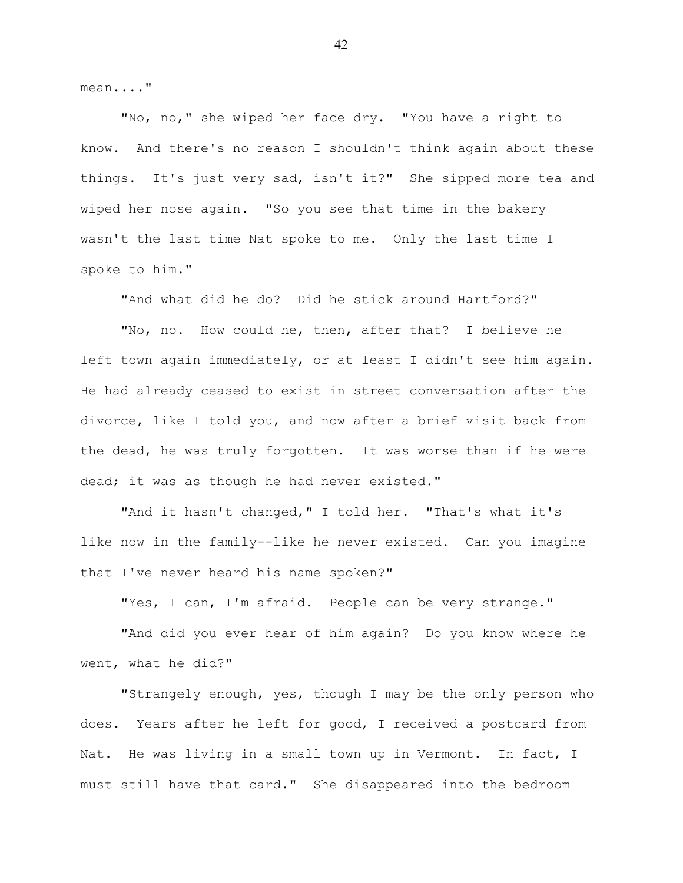mean...."

"No, no," she wiped her face dry. "You have a right to know. And there's no reason I shouldn't think again about these things. It's just very sad, isn't it?" She sipped more tea and wiped her nose again. "So you see that time in the bakery wasn't the last time Nat spoke to me. Only the last time I spoke to him."

"And what did he do? Did he stick around Hartford?"

"No, no. How could he, then, after that? I believe he left town again immediately, or at least I didn't see him again. He had already ceased to exist in street conversation after the divorce, like I told you, and now after a brief visit back from the dead, he was truly forgotten. It was worse than if he were dead; it was as though he had never existed."

"And it hasn't changed," I told her. "That's what it's like now in the family--like he never existed. Can you imagine that I've never heard his name spoken?"

"Yes, I can, I'm afraid. People can be very strange."

"And did you ever hear of him again? Do you know where he went, what he did?"

"Strangely enough, yes, though I may be the only person who does. Years after he left for good, I received a postcard from Nat. He was living in a small town up in Vermont. In fact, I must still have that card." She disappeared into the bedroom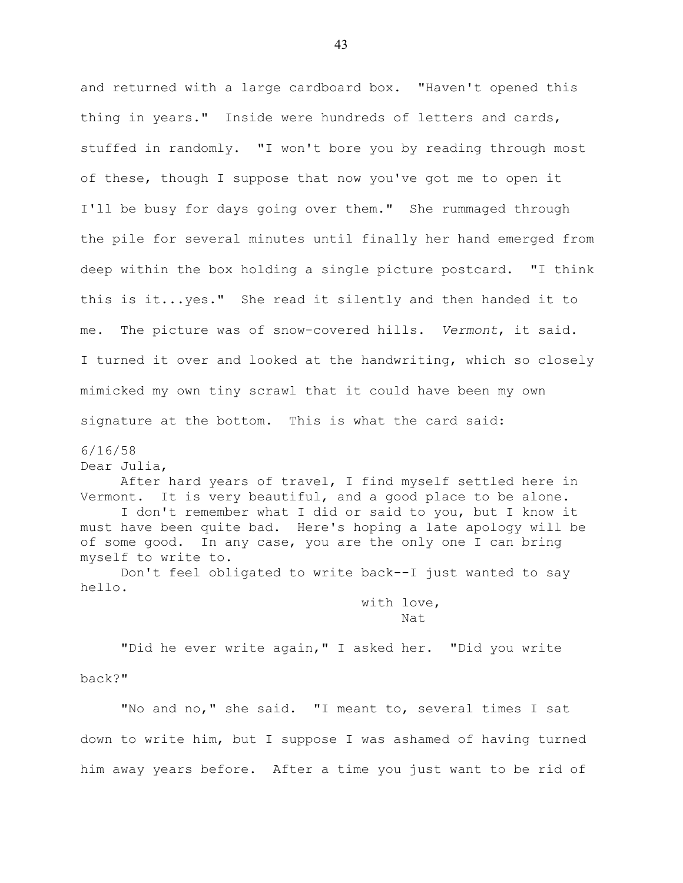and returned with a large cardboard box. "Haven't opened this thing in years." Inside were hundreds of letters and cards, stuffed in randomly. "I won't bore you by reading through most of these, though I suppose that now you've got me to open it I'll be busy for days going over them." She rummaged through the pile for several minutes until finally her hand emerged from deep within the box holding a single picture postcard. "I think this is it...yes." She read it silently and then handed it to me. The picture was of snow-covered hills. *Vermont*, it said. I turned it over and looked at the handwriting, which so closely mimicked my own tiny scrawl that it could have been my own signature at the bottom. This is what the card said:

6/16/58

Dear Julia,

After hard years of travel, I find myself settled here in Vermont. It is very beautiful, and a good place to be alone. I don't remember what I did or said to you, but I know it must have been quite bad. Here's hoping a late apology will be of some good. In any case, you are the only one I can bring myself to write to.

Don't feel obligated to write back--I just wanted to say hello.

> with love, Nat

"Did he ever write again," I asked her. "Did you write back?"

"No and no," she said. "I meant to, several times I sat down to write him, but I suppose I was ashamed of having turned him away years before. After a time you just want to be rid of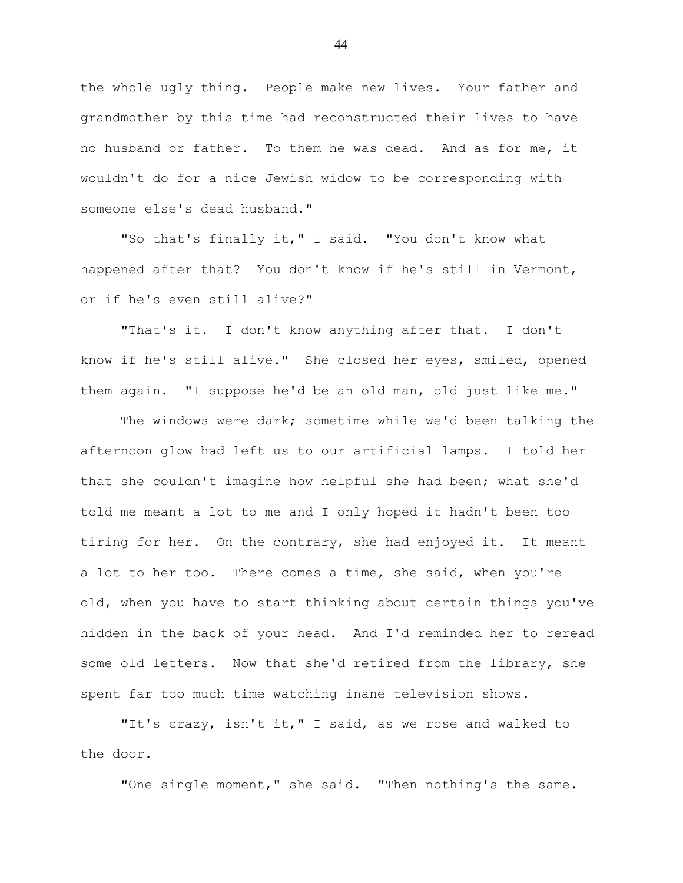the whole ugly thing. People make new lives. Your father and grandmother by this time had reconstructed their lives to have no husband or father. To them he was dead. And as for me, it wouldn't do for a nice Jewish widow to be corresponding with someone else's dead husband."

"So that's finally it," I said. "You don't know what happened after that? You don't know if he's still in Vermont, or if he's even still alive?"

"That's it. I don't know anything after that. I don't know if he's still alive." She closed her eyes, smiled, opened them again. "I suppose he'd be an old man, old just like me."

The windows were dark; sometime while we'd been talking the afternoon glow had left us to our artificial lamps. I told her that she couldn't imagine how helpful she had been; what she'd told me meant a lot to me and I only hoped it hadn't been too tiring for her. On the contrary, she had enjoyed it. It meant a lot to her too. There comes a time, she said, when you're old, when you have to start thinking about certain things you've hidden in the back of your head. And I'd reminded her to reread some old letters. Now that she'd retired from the library, she spent far too much time watching inane television shows.

"It's crazy, isn't it," I said, as we rose and walked to the door.

"One single moment," she said. "Then nothing's the same.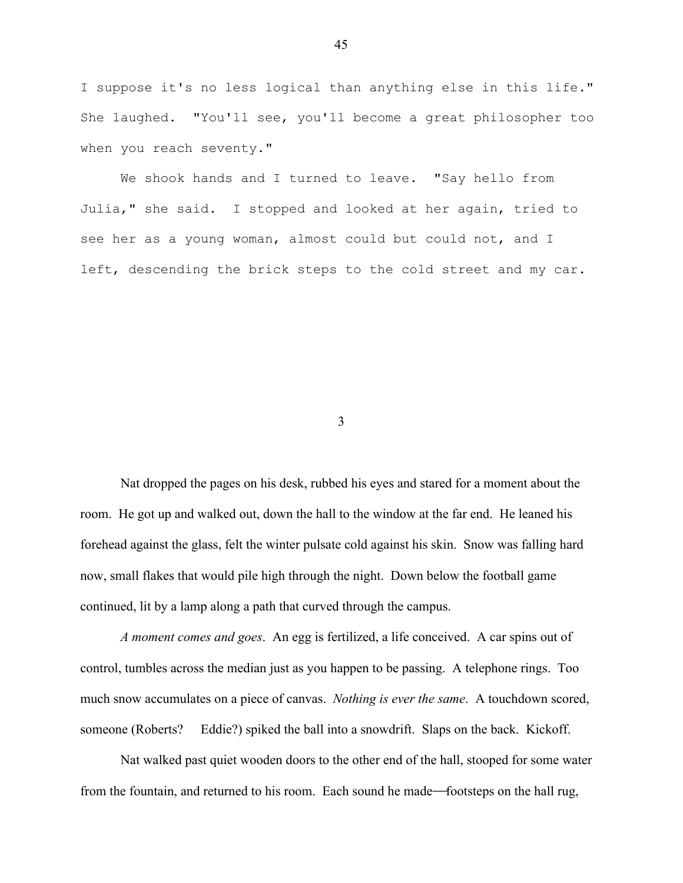I suppose it's no less logical than anything else in this life." She laughed. "You'll see, you'll become a great philosopher too when you reach seventy."

We shook hands and I turned to leave. "Say hello from Julia," she said. I stopped and looked at her again, tried to see her as a young woman, almost could but could not, and I left, descending the brick steps to the cold street and my car.

3

Nat dropped the pages on his desk, rubbed his eyes and stared for a moment about the room. He got up and walked out, down the hall to the window at the far end. He leaned his forehead against the glass, felt the winter pulsate cold against his skin. Snow was falling hard now, small flakes that would pile high through the night. Down below the football game continued, lit by a lamp along a path that curved through the campus.

*A moment comes and goes*. An egg is fertilized, a life conceived. A car spins out of control, tumbles across the median just as you happen to be passing. A telephone rings. Too much snow accumulates on a piece of canvas. *Nothing is ever the same*. A touchdown scored, someone (Roberts? Eddie?) spiked the ball into a snowdrift. Slaps on the back. Kickoff.

Nat walked past quiet wooden doors to the other end of the hall, stooped for some water from the fountain, and returned to his room. Each sound he made—footsteps on the hall rug,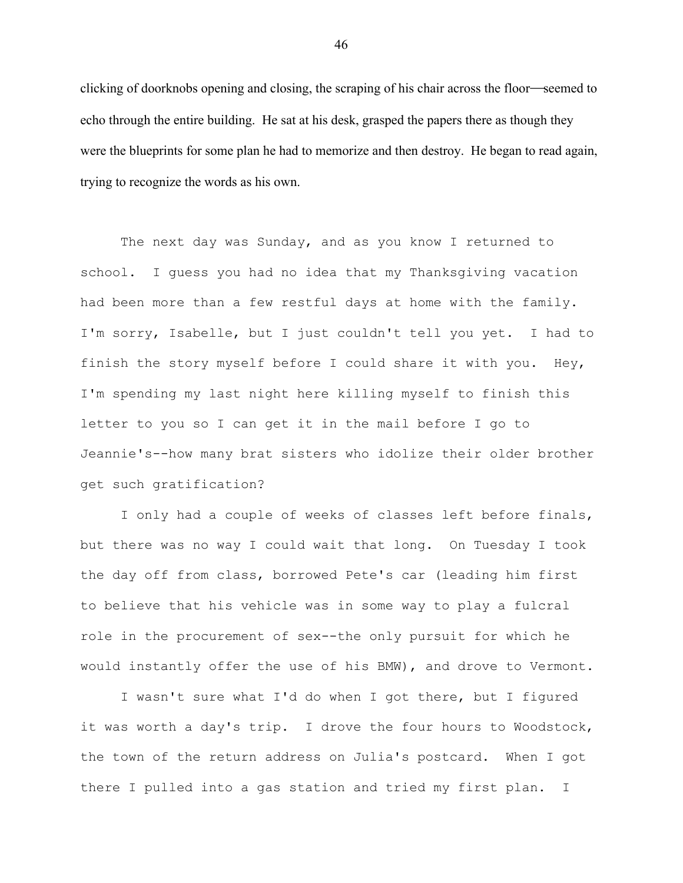clicking of doorknobs opening and closing, the scraping of his chair across the floor-seemed to echo through the entire building. He sat at his desk, grasped the papers there as though they were the blueprints for some plan he had to memorize and then destroy. He began to read again, trying to recognize the words as his own.

The next day was Sunday, and as you know I returned to school. I guess you had no idea that my Thanksgiving vacation had been more than a few restful days at home with the family. I'm sorry, Isabelle, but I just couldn't tell you yet. I had to finish the story myself before I could share it with you. Hey, I'm spending my last night here killing myself to finish this letter to you so I can get it in the mail before I go to Jeannie's--how many brat sisters who idolize their older brother get such gratification?

I only had a couple of weeks of classes left before finals, but there was no way I could wait that long. On Tuesday I took the day off from class, borrowed Pete's car (leading him first to believe that his vehicle was in some way to play a fulcral role in the procurement of sex--the only pursuit for which he would instantly offer the use of his BMW), and drove to Vermont.

I wasn't sure what I'd do when I got there, but I figured it was worth a day's trip. I drove the four hours to Woodstock, the town of the return address on Julia's postcard. When I got there I pulled into a gas station and tried my first plan. I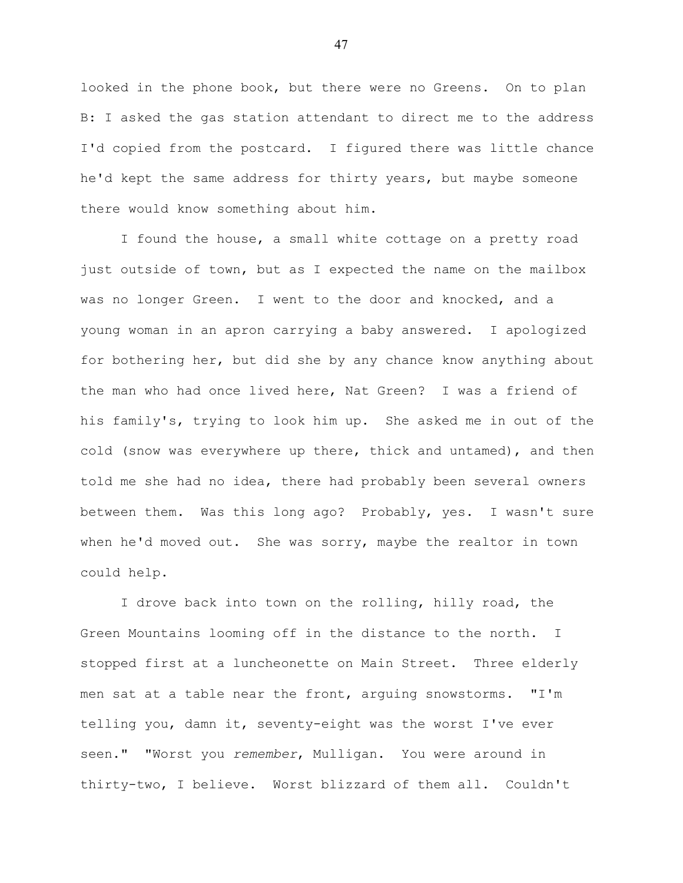looked in the phone book, but there were no Greens. On to plan B: I asked the gas station attendant to direct me to the address I'd copied from the postcard. I figured there was little chance he'd kept the same address for thirty years, but maybe someone there would know something about him.

I found the house, a small white cottage on a pretty road just outside of town, but as I expected the name on the mailbox was no longer Green. I went to the door and knocked, and a young woman in an apron carrying a baby answered. I apologized for bothering her, but did she by any chance know anything about the man who had once lived here, Nat Green? I was a friend of his family's, trying to look him up. She asked me in out of the cold (snow was everywhere up there, thick and untamed), and then told me she had no idea, there had probably been several owners between them. Was this long ago? Probably, yes. I wasn't sure when he'd moved out. She was sorry, maybe the realtor in town could help.

I drove back into town on the rolling, hilly road, the Green Mountains looming off in the distance to the north. I stopped first at a luncheonette on Main Street. Three elderly men sat at a table near the front, arguing snowstorms. "I'm telling you, damn it, seventy-eight was the worst I've ever seen." "Worst you *remember*, Mulligan. You were around in thirty-two, I believe. Worst blizzard of them all. Couldn't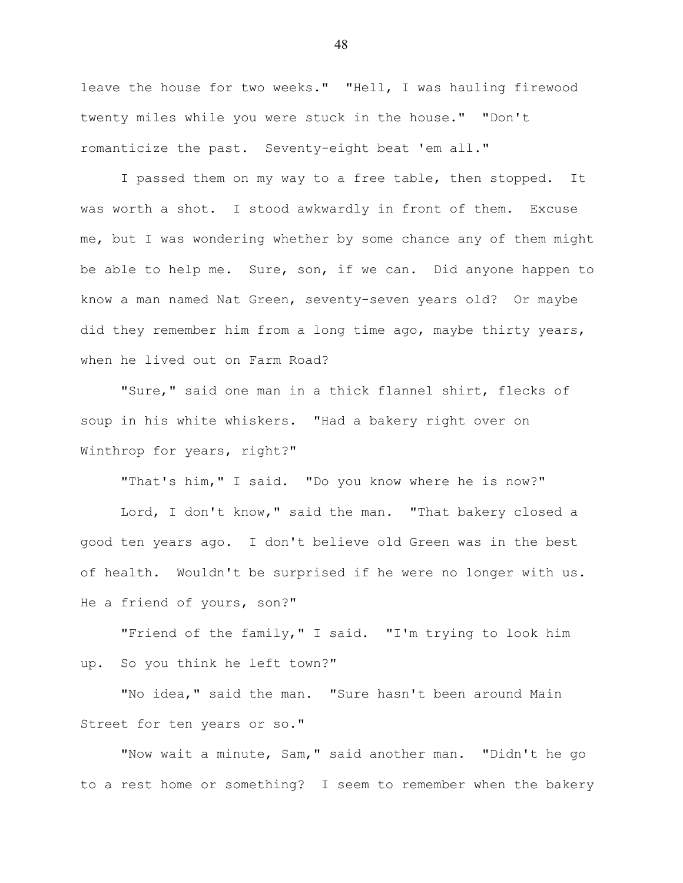leave the house for two weeks." "Hell, I was hauling firewood twenty miles while you were stuck in the house." "Don't romanticize the past. Seventy-eight beat 'em all."

I passed them on my way to a free table, then stopped. It was worth a shot. I stood awkwardly in front of them. Excuse me, but I was wondering whether by some chance any of them might be able to help me. Sure, son, if we can. Did anyone happen to know a man named Nat Green, seventy-seven years old? Or maybe did they remember him from a long time ago, maybe thirty years, when he lived out on Farm Road?

"Sure," said one man in a thick flannel shirt, flecks of soup in his white whiskers. "Had a bakery right over on Winthrop for years, right?"

"That's him," I said. "Do you know where he is now?"

Lord, I don't know," said the man. "That bakery closed a good ten years ago. I don't believe old Green was in the best of health. Wouldn't be surprised if he were no longer with us. He a friend of yours, son?"

"Friend of the family," I said. "I'm trying to look him up. So you think he left town?"

"No idea," said the man. "Sure hasn't been around Main Street for ten years or so."

"Now wait a minute, Sam," said another man. "Didn't he go to a rest home or something? I seem to remember when the bakery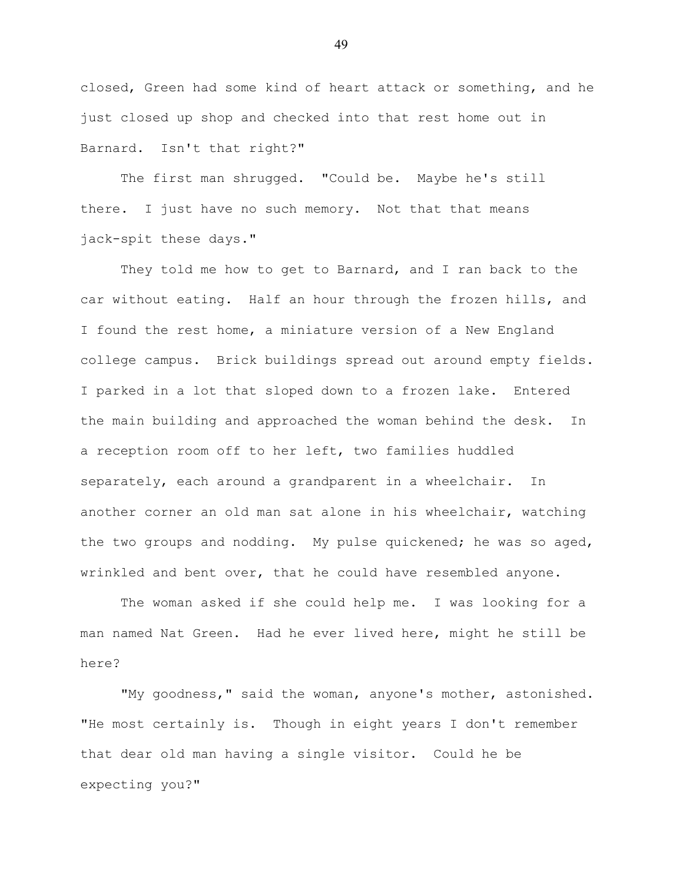closed, Green had some kind of heart attack or something, and he just closed up shop and checked into that rest home out in Barnard. Isn't that right?"

The first man shrugged. "Could be. Maybe he's still there. I just have no such memory. Not that that means jack-spit these days."

They told me how to get to Barnard, and I ran back to the car without eating. Half an hour through the frozen hills, and I found the rest home, a miniature version of a New England college campus. Brick buildings spread out around empty fields. I parked in a lot that sloped down to a frozen lake. Entered the main building and approached the woman behind the desk. In a reception room off to her left, two families huddled separately, each around a grandparent in a wheelchair. In another corner an old man sat alone in his wheelchair, watching the two groups and nodding. My pulse quickened; he was so aged, wrinkled and bent over, that he could have resembled anyone.

The woman asked if she could help me. I was looking for a man named Nat Green. Had he ever lived here, might he still be here?

"My goodness," said the woman, anyone's mother, astonished. "He most certainly is. Though in eight years I don't remember that dear old man having a single visitor. Could he be expecting you?"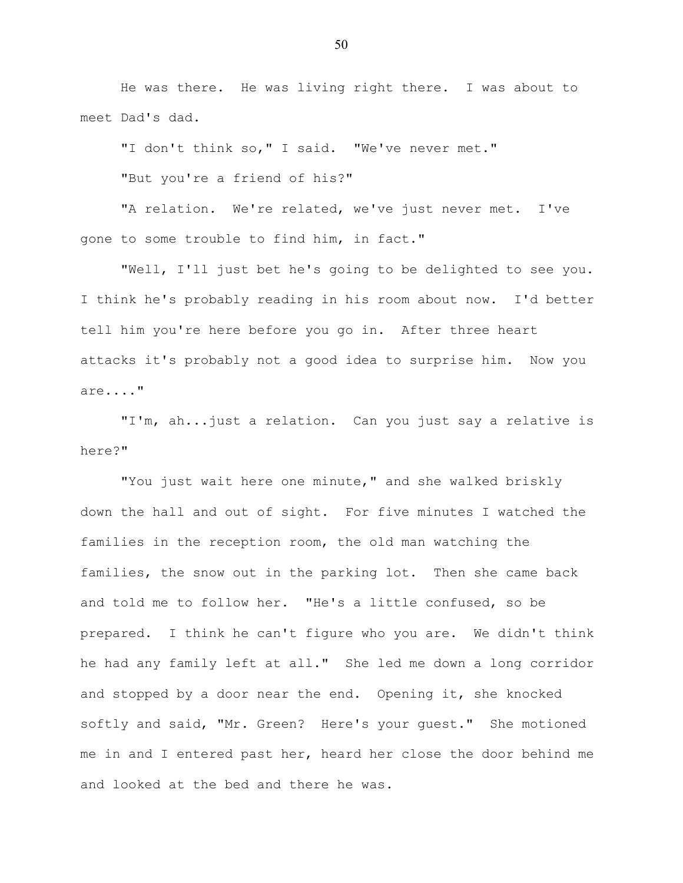He was there. He was living right there. I was about to meet Dad's dad.

"I don't think so," I said. "We've never met."

"But you're a friend of his?"

"A relation. We're related, we've just never met. I've gone to some trouble to find him, in fact."

"Well, I'll just bet he's going to be delighted to see you. I think he's probably reading in his room about now. I'd better tell him you're here before you go in. After three heart attacks it's probably not a good idea to surprise him. Now you are...."

"I'm, ah...just a relation. Can you just say a relative is here?"

"You just wait here one minute," and she walked briskly down the hall and out of sight. For five minutes I watched the families in the reception room, the old man watching the families, the snow out in the parking lot. Then she came back and told me to follow her. "He's a little confused, so be prepared. I think he can't figure who you are. We didn't think he had any family left at all." She led me down a long corridor and stopped by a door near the end. Opening it, she knocked softly and said, "Mr. Green? Here's your guest." She motioned me in and I entered past her, heard her close the door behind me and looked at the bed and there he was.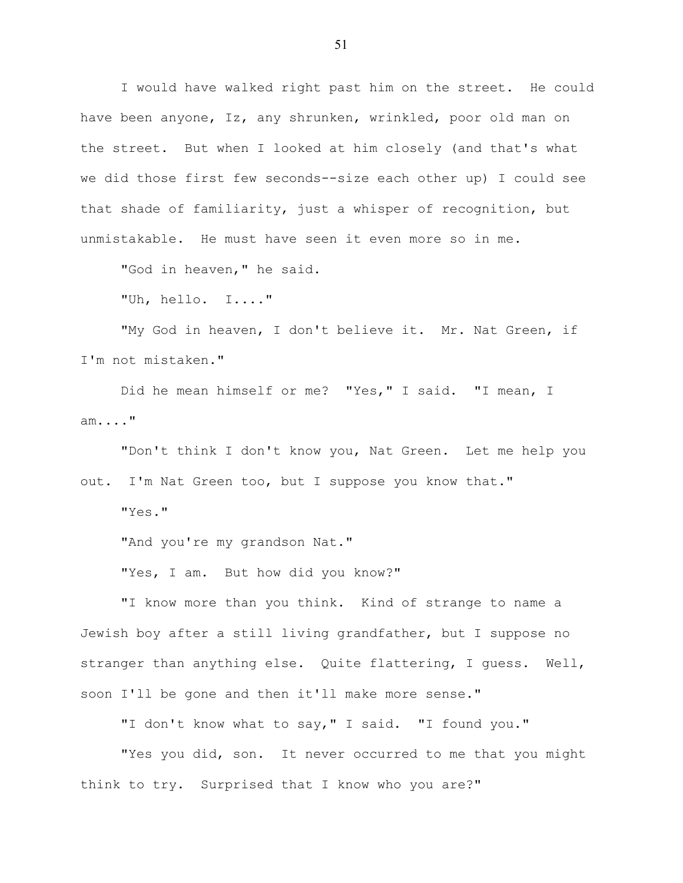I would have walked right past him on the street. He could have been anyone, Iz, any shrunken, wrinkled, poor old man on the street. But when I looked at him closely (and that's what we did those first few seconds--size each other up) I could see that shade of familiarity, just a whisper of recognition, but unmistakable. He must have seen it even more so in me.

"God in heaven," he said.

"Uh, hello. I...."

"My God in heaven, I don't believe it. Mr. Nat Green, if I'm not mistaken."

Did he mean himself or me? "Yes," I said. "I mean, I am...."

"Don't think I don't know you, Nat Green. Let me help you out. I'm Nat Green too, but I suppose you know that."

"Yes."

"And you're my grandson Nat."

"Yes, I am. But how did you know?"

"I know more than you think. Kind of strange to name a Jewish boy after a still living grandfather, but I suppose no stranger than anything else. Quite flattering, I guess. Well, soon I'll be gone and then it'll make more sense."

"I don't know what to say," I said. "I found you."

"Yes you did, son. It never occurred to me that you might think to try. Surprised that I know who you are?"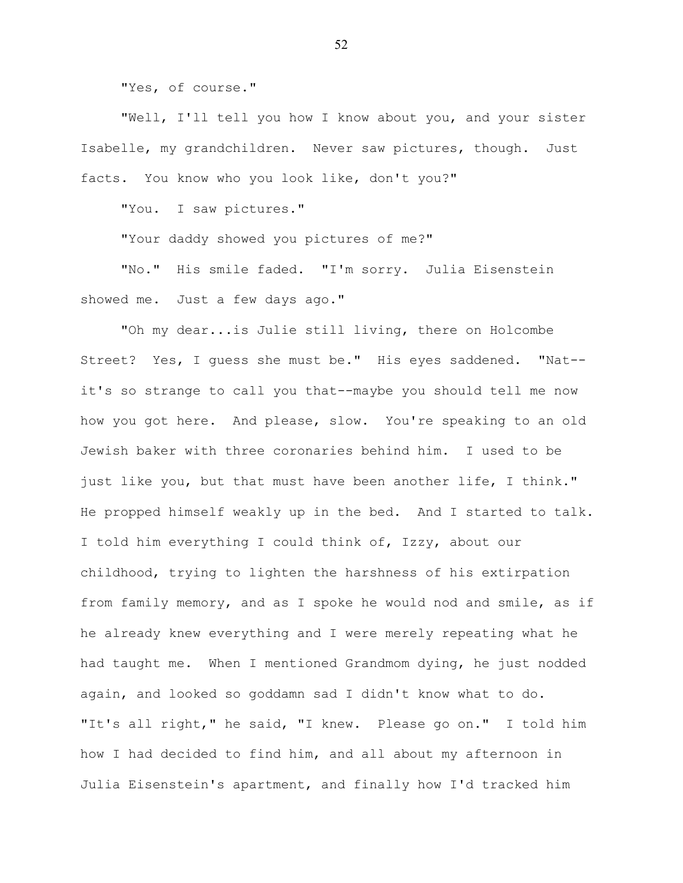"Yes, of course."

"Well, I'll tell you how I know about you, and your sister Isabelle, my grandchildren. Never saw pictures, though. Just facts. You know who you look like, don't you?"

"You. I saw pictures."

"Your daddy showed you pictures of me?"

"No." His smile faded. "I'm sorry. Julia Eisenstein showed me. Just a few days ago."

"Oh my dear...is Julie still living, there on Holcombe Street? Yes, I guess she must be." His eyes saddened. "Nat- it's so strange to call you that--maybe you should tell me now how you got here. And please, slow. You're speaking to an old Jewish baker with three coronaries behind him. I used to be just like you, but that must have been another life, I think." He propped himself weakly up in the bed. And I started to talk. I told him everything I could think of, Izzy, about our childhood, trying to lighten the harshness of his extirpation from family memory, and as I spoke he would nod and smile, as if he already knew everything and I were merely repeating what he had taught me. When I mentioned Grandmom dying, he just nodded again, and looked so goddamn sad I didn't know what to do. "It's all right," he said, "I knew. Please go on." I told him how I had decided to find him, and all about my afternoon in Julia Eisenstein's apartment, and finally how I'd tracked him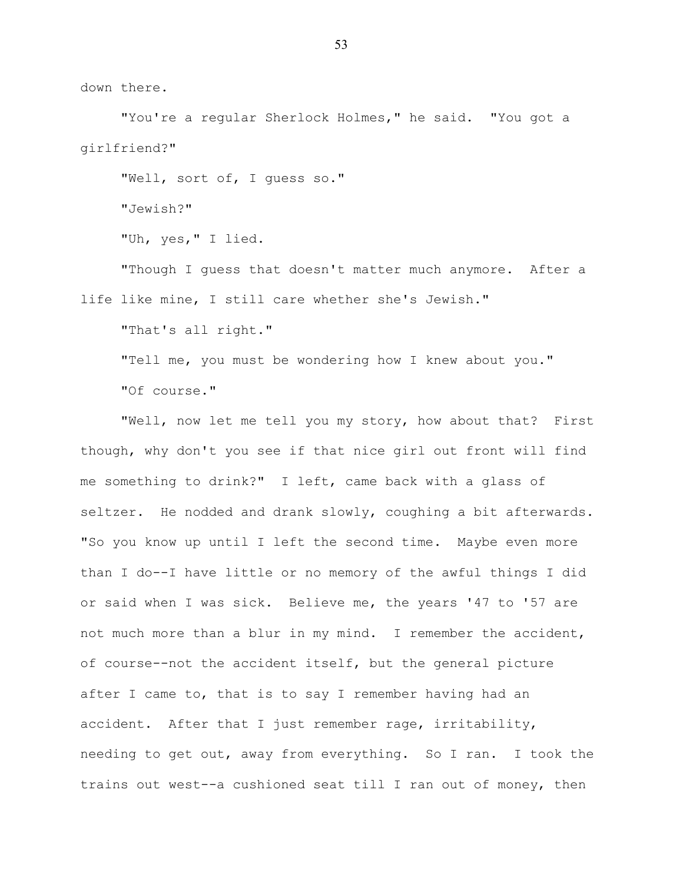down there.

"You're a reqular Sherlock Holmes," he said. "You got a girlfriend?"

"Well, sort of, I guess so." "Jewish?" "Uh, yes," I lied.

"Though I guess that doesn't matter much anymore. After a life like mine, I still care whether she's Jewish."

"That's all right."

"Tell me, you must be wondering how I knew about you." "Of course."

"Well, now let me tell you my story, how about that? First though, why don't you see if that nice girl out front will find me something to drink?" I left, came back with a glass of seltzer. He nodded and drank slowly, coughing a bit afterwards. "So you know up until I left the second time. Maybe even more than I do--I have little or no memory of the awful things I did or said when I was sick. Believe me, the years '47 to '57 are not much more than a blur in my mind. I remember the accident, of course--not the accident itself, but the general picture after I came to, that is to say I remember having had an accident. After that I just remember rage, irritability, needing to get out, away from everything. So I ran. I took the trains out west--a cushioned seat till I ran out of money, then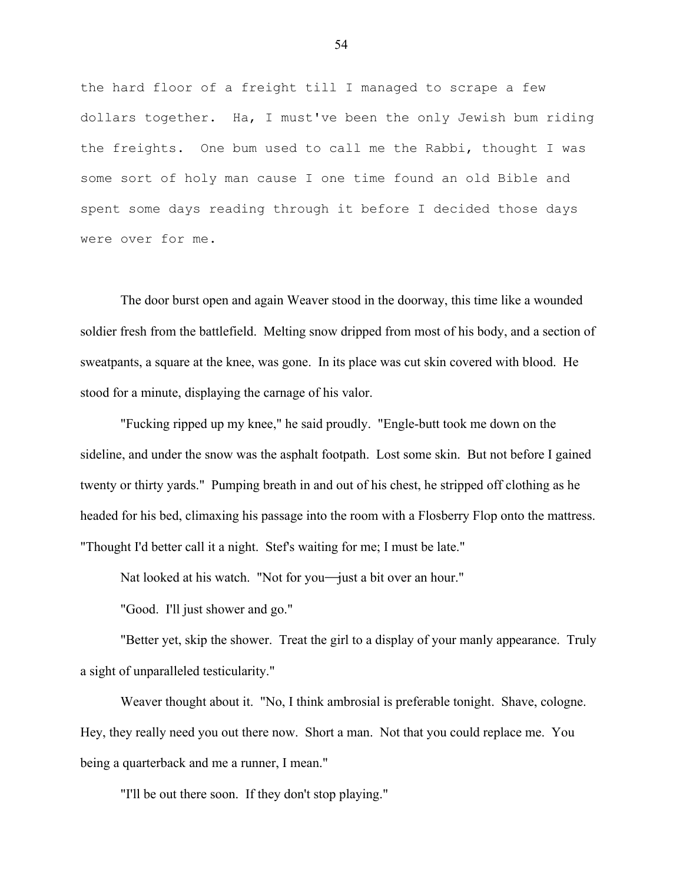the hard floor of a freight till I managed to scrape a few dollars together. Ha, I must've been the only Jewish bum riding the freights. One bum used to call me the Rabbi, thought I was some sort of holy man cause I one time found an old Bible and spent some days reading through it before I decided those days were over for me.

The door burst open and again Weaver stood in the doorway, this time like a wounded soldier fresh from the battlefield. Melting snow dripped from most of his body, and a section of sweatpants, a square at the knee, was gone. In its place was cut skin covered with blood. He stood for a minute, displaying the carnage of his valor.

"Fucking ripped up my knee," he said proudly. "Engle-butt took me down on the sideline, and under the snow was the asphalt footpath. Lost some skin. But not before I gained twenty or thirty yards." Pumping breath in and out of his chest, he stripped off clothing as he headed for his bed, climaxing his passage into the room with a Flosberry Flop onto the mattress. "Thought I'd better call it a night. Stef's waiting for me; I must be late."

Nat looked at his watch. "Not for you-just a bit over an hour."

"Good. I'll just shower and go."

"Better yet, skip the shower. Treat the girl to a display of your manly appearance. Truly a sight of unparalleled testicularity."

Weaver thought about it. "No, I think ambrosial is preferable tonight. Shave, cologne. Hey, they really need you out there now. Short a man. Not that you could replace me. You being a quarterback and me a runner, I mean."

"I'll be out there soon. If they don't stop playing."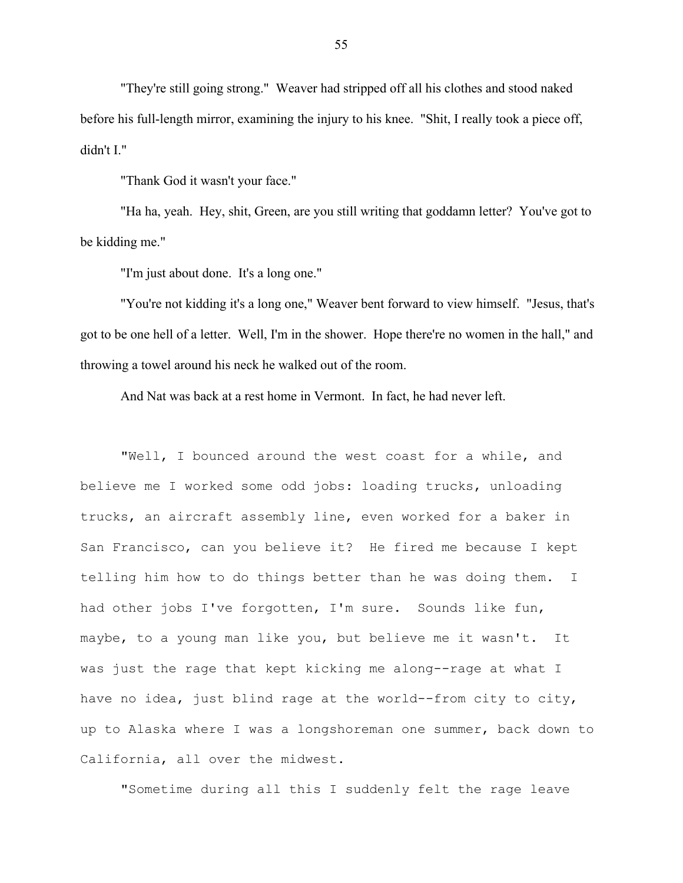"They're still going strong." Weaver had stripped off all his clothes and stood naked before his full-length mirror, examining the injury to his knee. "Shit, I really took a piece off, didn't I."

"Thank God it wasn't your face."

"Ha ha, yeah. Hey, shit, Green, are you still writing that goddamn letter? You've got to be kidding me."

"I'm just about done. It's a long one."

"You're not kidding it's a long one," Weaver bent forward to view himself. "Jesus, that's got to be one hell of a letter. Well, I'm in the shower. Hope there're no women in the hall," and throwing a towel around his neck he walked out of the room.

And Nat was back at a rest home in Vermont. In fact, he had never left.

"Well, I bounced around the west coast for a while, and believe me I worked some odd jobs: loading trucks, unloading trucks, an aircraft assembly line, even worked for a baker in San Francisco, can you believe it? He fired me because I kept telling him how to do things better than he was doing them. I had other jobs I've forgotten, I'm sure. Sounds like fun, maybe, to a young man like you, but believe me it wasn't. It was just the rage that kept kicking me along--rage at what I have no idea, just blind rage at the world--from city to city, up to Alaska where I was a longshoreman one summer, back down to California, all over the midwest.

"Sometime during all this I suddenly felt the rage leave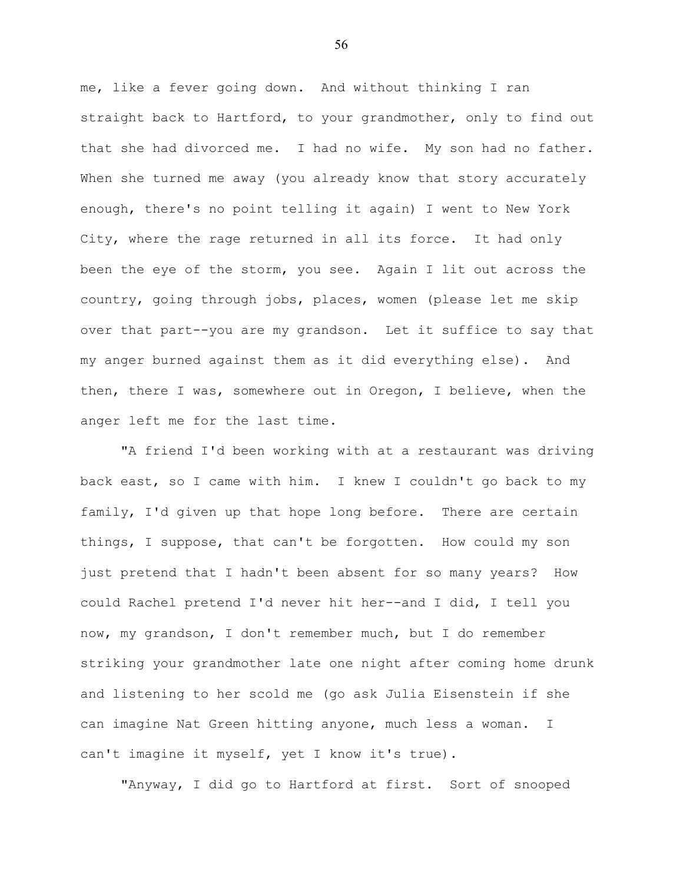me, like a fever going down. And without thinking I ran straight back to Hartford, to your grandmother, only to find out that she had divorced me. I had no wife. My son had no father. When she turned me away (you already know that story accurately enough, there's no point telling it again) I went to New York City, where the rage returned in all its force. It had only been the eye of the storm, you see. Again I lit out across the country, going through jobs, places, women (please let me skip over that part--you are my grandson. Let it suffice to say that my anger burned against them as it did everything else). And then, there I was, somewhere out in Oregon, I believe, when the anger left me for the last time.

"A friend I'd been working with at a restaurant was driving back east, so I came with him. I knew I couldn't go back to my family, I'd given up that hope long before. There are certain things, I suppose, that can't be forgotten. How could my son just pretend that I hadn't been absent for so many years? How could Rachel pretend I'd never hit her--and I did, I tell you now, my grandson, I don't remember much, but I do remember striking your grandmother late one night after coming home drunk and listening to her scold me (go ask Julia Eisenstein if she can imagine Nat Green hitting anyone, much less a woman. I can't imagine it myself, yet I know it's true).

"Anyway, I did go to Hartford at first. Sort of snooped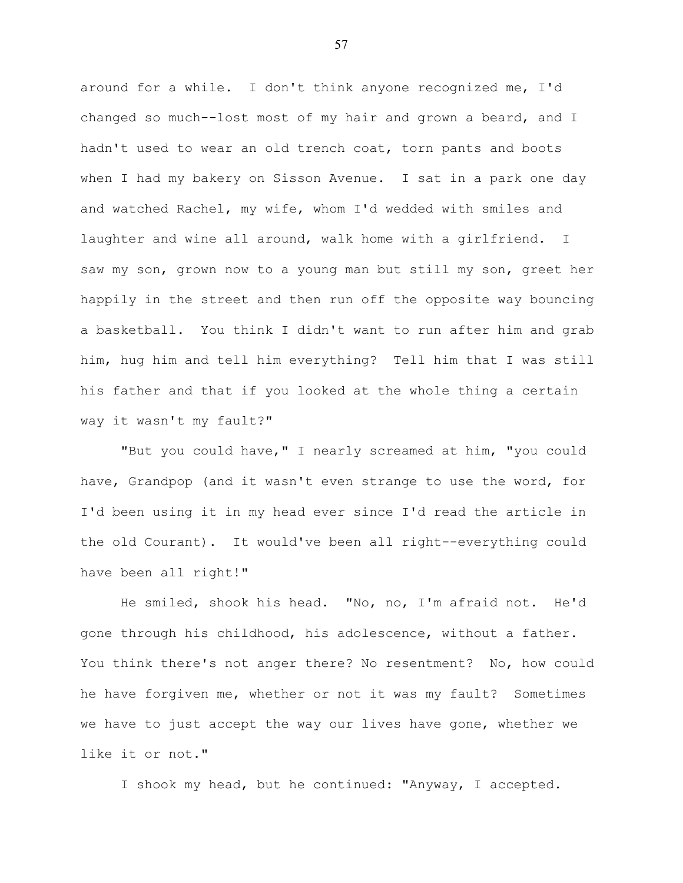around for a while. I don't think anyone recognized me, I'd changed so much--lost most of my hair and grown a beard, and I hadn't used to wear an old trench coat, torn pants and boots when I had my bakery on Sisson Avenue. I sat in a park one day and watched Rachel, my wife, whom I'd wedded with smiles and laughter and wine all around, walk home with a girlfriend. I saw my son, grown now to a young man but still my son, greet her happily in the street and then run off the opposite way bouncing a basketball. You think I didn't want to run after him and grab him, hug him and tell him everything? Tell him that I was still his father and that if you looked at the whole thing a certain way it wasn't my fault?"

"But you could have," I nearly screamed at him, "you could have, Grandpop (and it wasn't even strange to use the word, for I'd been using it in my head ever since I'd read the article in the old Courant). It would've been all right--everything could have been all right!"

He smiled, shook his head. "No, no, I'm afraid not. He'd gone through his childhood, his adolescence, without a father. You think there's not anger there? No resentment? No, how could he have forgiven me, whether or not it was my fault? Sometimes we have to just accept the way our lives have gone, whether we like it or not."

I shook my head, but he continued: "Anyway, I accepted.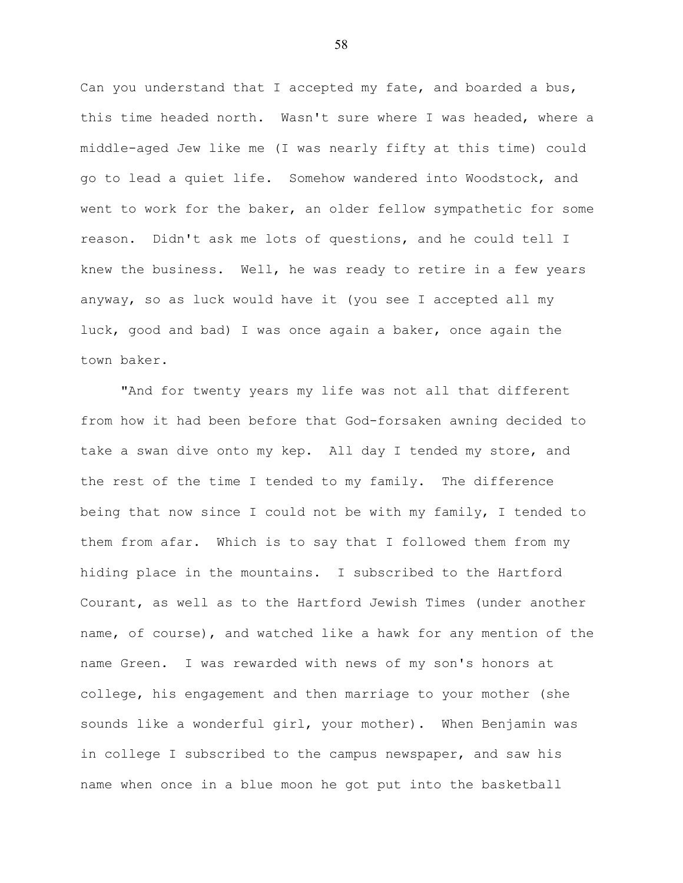Can you understand that I accepted my fate, and boarded a bus, this time headed north. Wasn't sure where I was headed, where a middle-aged Jew like me (I was nearly fifty at this time) could go to lead a quiet life. Somehow wandered into Woodstock, and went to work for the baker, an older fellow sympathetic for some reason. Didn't ask me lots of questions, and he could tell I knew the business. Well, he was ready to retire in a few years anyway, so as luck would have it (you see I accepted all my luck, good and bad) I was once again a baker, once again the town baker.

"And for twenty years my life was not all that different from how it had been before that God-forsaken awning decided to take a swan dive onto my kep. All day I tended my store, and the rest of the time I tended to my family. The difference being that now since I could not be with my family, I tended to them from afar. Which is to say that I followed them from my hiding place in the mountains. I subscribed to the Hartford Courant, as well as to the Hartford Jewish Times (under another name, of course), and watched like a hawk for any mention of the name Green. I was rewarded with news of my son's honors at college, his engagement and then marriage to your mother (she sounds like a wonderful girl, your mother). When Benjamin was in college I subscribed to the campus newspaper, and saw his name when once in a blue moon he got put into the basketball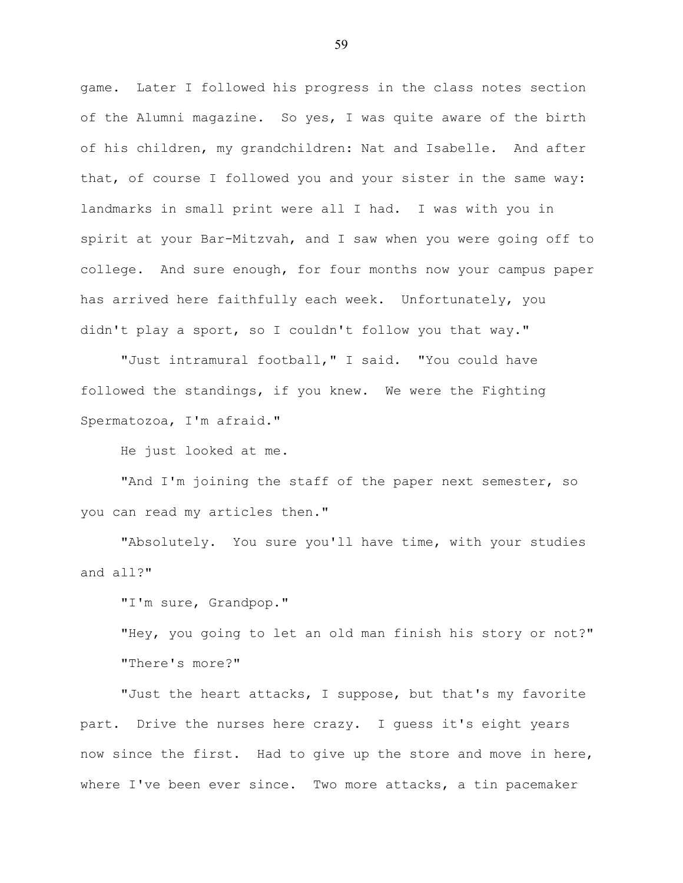game. Later I followed his progress in the class notes section of the Alumni magazine. So yes, I was quite aware of the birth of his children, my grandchildren: Nat and Isabelle. And after that, of course I followed you and your sister in the same way: landmarks in small print were all I had. I was with you in spirit at your Bar-Mitzvah, and I saw when you were going off to college. And sure enough, for four months now your campus paper has arrived here faithfully each week. Unfortunately, you didn't play a sport, so I couldn't follow you that way."

"Just intramural football," I said. "You could have followed the standings, if you knew. We were the Fighting Spermatozoa, I'm afraid."

He just looked at me.

"And I'm joining the staff of the paper next semester, so you can read my articles then."

"Absolutely. You sure you'll have time, with your studies and all?"

"I'm sure, Grandpop."

"Hey, you going to let an old man finish his story or not?" "There's more?"

"Just the heart attacks, I suppose, but that's my favorite part. Drive the nurses here crazy. I guess it's eight years now since the first. Had to give up the store and move in here, where I've been ever since. Two more attacks, a tin pacemaker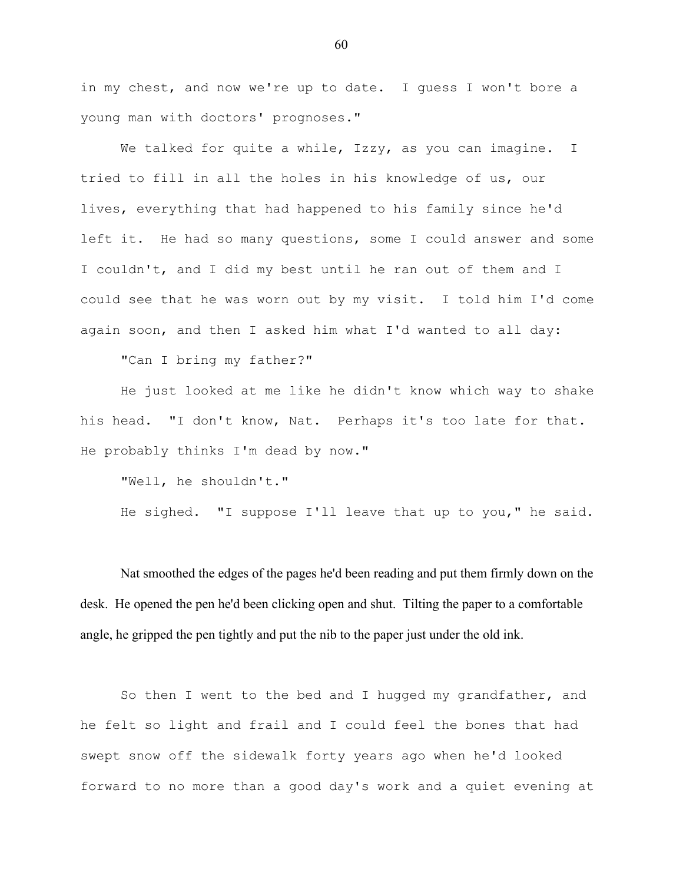in my chest, and now we're up to date. I quess I won't bore a young man with doctors' prognoses."

We talked for quite a while, Izzy, as you can imagine. I tried to fill in all the holes in his knowledge of us, our lives, everything that had happened to his family since he'd left it. He had so many questions, some I could answer and some I couldn't, and I did my best until he ran out of them and I could see that he was worn out by my visit. I told him I'd come again soon, and then I asked him what I'd wanted to all day:

"Can I bring my father?"

He just looked at me like he didn't know which way to shake his head. "I don't know, Nat. Perhaps it's too late for that. He probably thinks I'm dead by now."

"Well, he shouldn't."

He sighed. "I suppose I'll leave that up to you," he said.

Nat smoothed the edges of the pages he'd been reading and put them firmly down on the desk. He opened the pen he'd been clicking open and shut. Tilting the paper to a comfortable angle, he gripped the pen tightly and put the nib to the paper just under the old ink.

So then I went to the bed and I hugged my grandfather, and he felt so light and frail and I could feel the bones that had swept snow off the sidewalk forty years ago when he'd looked forward to no more than a good day's work and a quiet evening at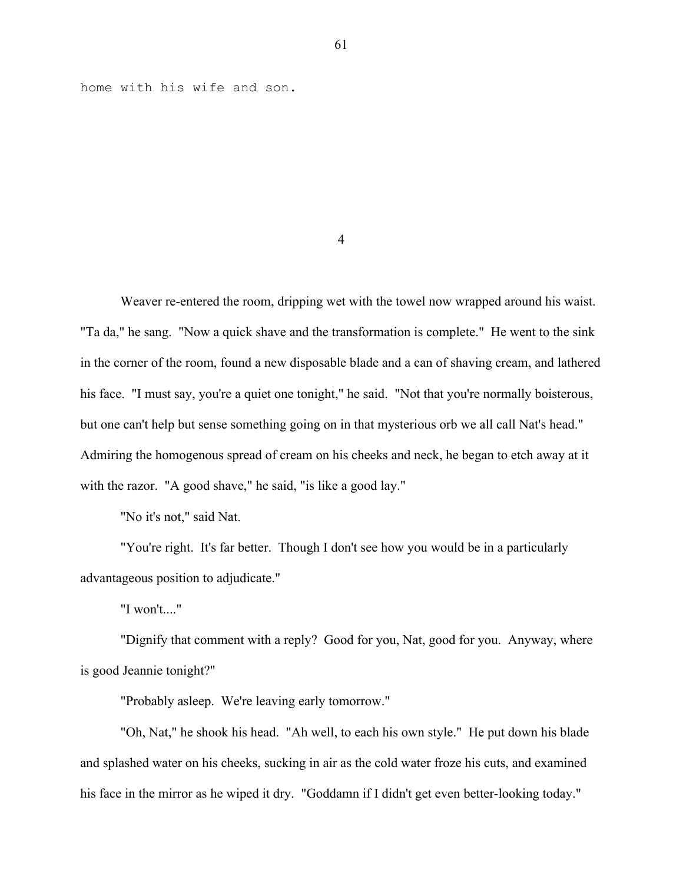home with his wife and son.

4

Weaver re-entered the room, dripping wet with the towel now wrapped around his waist. "Ta da," he sang. "Now a quick shave and the transformation is complete." He went to the sink in the corner of the room, found a new disposable blade and a can of shaving cream, and lathered his face. "I must say, you're a quiet one tonight," he said. "Not that you're normally boisterous, but one can't help but sense something going on in that mysterious orb we all call Nat's head." Admiring the homogenous spread of cream on his cheeks and neck, he began to etch away at it with the razor. "A good shave," he said, "is like a good lay."

"No it's not," said Nat.

"You're right. It's far better. Though I don't see how you would be in a particularly advantageous position to adjudicate."

"I won't...."

"Dignify that comment with a reply? Good for you, Nat, good for you. Anyway, where is good Jeannie tonight?"

"Probably asleep. We're leaving early tomorrow."

"Oh, Nat," he shook his head. "Ah well, to each his own style." He put down his blade and splashed water on his cheeks, sucking in air as the cold water froze his cuts, and examined his face in the mirror as he wiped it dry. "Goddamn if I didn't get even better-looking today."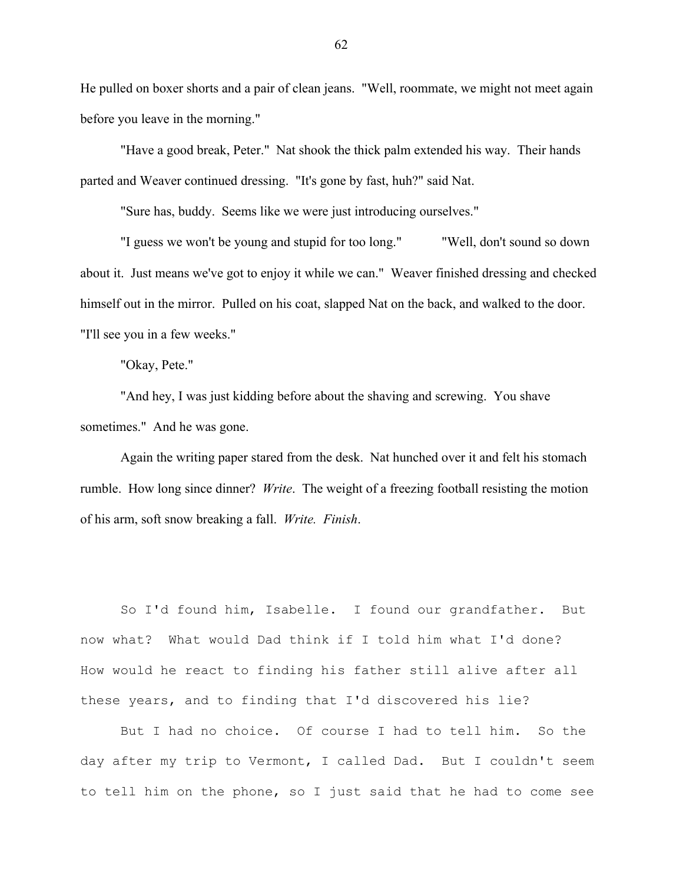He pulled on boxer shorts and a pair of clean jeans. "Well, roommate, we might not meet again before you leave in the morning."

"Have a good break, Peter." Nat shook the thick palm extended his way. Their hands parted and Weaver continued dressing. "It's gone by fast, huh?" said Nat.

"Sure has, buddy. Seems like we were just introducing ourselves."

"I guess we won't be young and stupid for too long." "Well, don't sound so down about it. Just means we've got to enjoy it while we can." Weaver finished dressing and checked himself out in the mirror. Pulled on his coat, slapped Nat on the back, and walked to the door. "I'll see you in a few weeks."

"Okay, Pete."

"And hey, I was just kidding before about the shaving and screwing. You shave sometimes." And he was gone.

Again the writing paper stared from the desk. Nat hunched over it and felt his stomach rumble. How long since dinner? *Write*. The weight of a freezing football resisting the motion of his arm, soft snow breaking a fall. *Write. Finish*.

So I'd found him, Isabelle. I found our grandfather. But now what? What would Dad think if I told him what I'd done? How would he react to finding his father still alive after all these years, and to finding that I'd discovered his lie?

But I had no choice. Of course I had to tell him. So the day after my trip to Vermont, I called Dad. But I couldn't seem to tell him on the phone, so I just said that he had to come see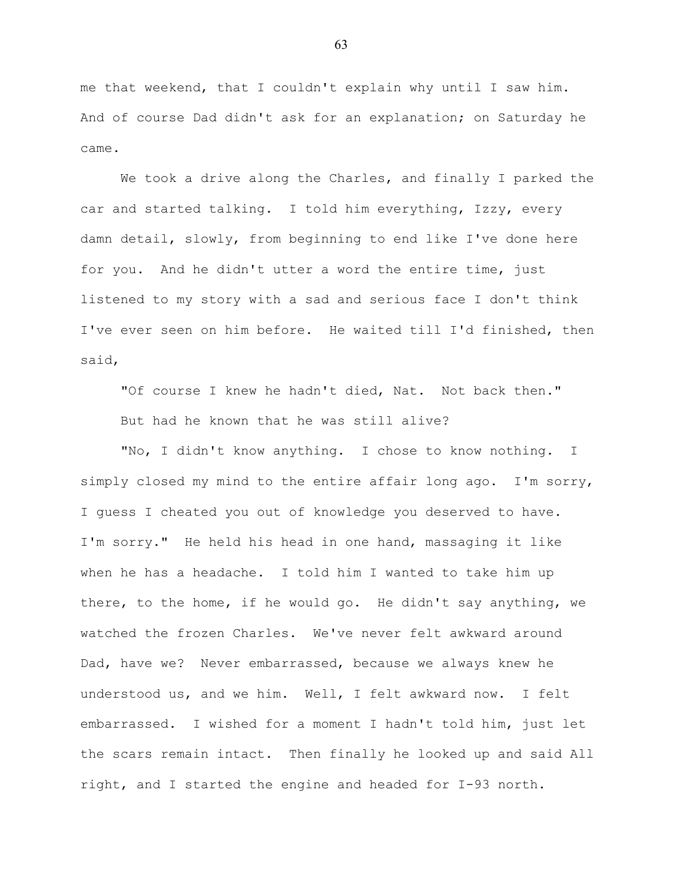me that weekend, that I couldn't explain why until I saw him. And of course Dad didn't ask for an explanation; on Saturday he came.

We took a drive along the Charles, and finally I parked the car and started talking. I told him everything, Izzy, every damn detail, slowly, from beginning to end like I've done here for you. And he didn't utter a word the entire time, just listened to my story with a sad and serious face I don't think I've ever seen on him before. He waited till I'd finished, then said,

"Of course I knew he hadn't died, Nat. Not back then." But had he known that he was still alive?

"No, I didn't know anything. I chose to know nothing. I simply closed my mind to the entire affair long ago. I'm sorry, I guess I cheated you out of knowledge you deserved to have. I'm sorry." He held his head in one hand, massaging it like when he has a headache. I told him I wanted to take him up there, to the home, if he would go. He didn't say anything, we watched the frozen Charles. We've never felt awkward around Dad, have we? Never embarrassed, because we always knew he understood us, and we him. Well, I felt awkward now. I felt embarrassed. I wished for a moment I hadn't told him, just let the scars remain intact. Then finally he looked up and said All right, and I started the engine and headed for I-93 north.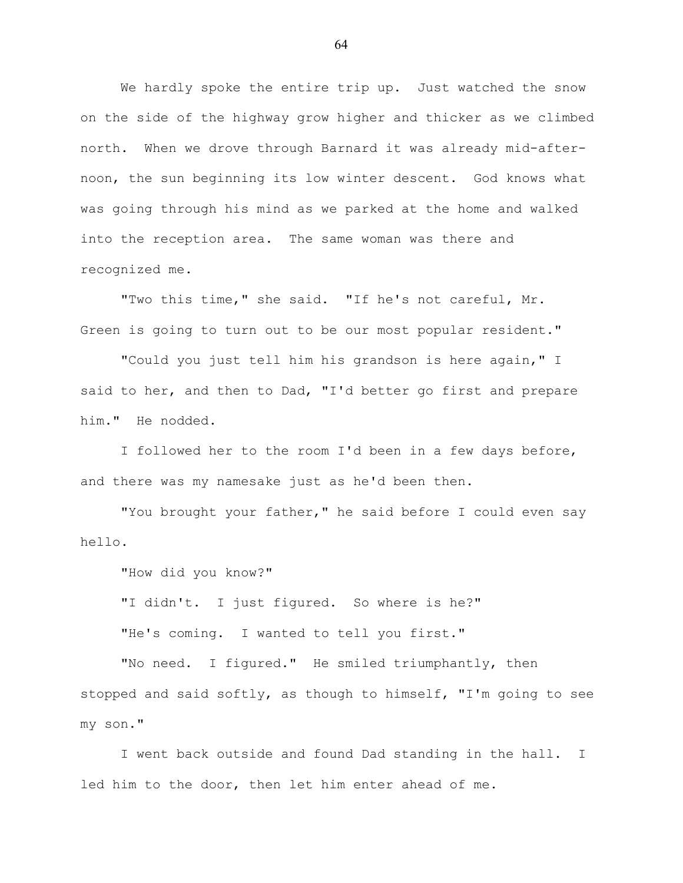We hardly spoke the entire trip up. Just watched the snow on the side of the highway grow higher and thicker as we climbed north. When we drove through Barnard it was already mid-afternoon, the sun beginning its low winter descent. God knows what was going through his mind as we parked at the home and walked into the reception area. The same woman was there and recognized me.

"Two this time," she said. "If he's not careful, Mr. Green is going to turn out to be our most popular resident."

"Could you just tell him his grandson is here again," I said to her, and then to Dad, "I'd better go first and prepare him." He nodded.

I followed her to the room I'd been in a few days before, and there was my namesake just as he'd been then.

"You brought your father," he said before I could even say hello.

"How did you know?"

"I didn't. I just figured. So where is he?" "He's coming. I wanted to tell you first."

"No need. I figured." He smiled triumphantly, then stopped and said softly, as though to himself, "I'm going to see my son."

I went back outside and found Dad standing in the hall. I led him to the door, then let him enter ahead of me.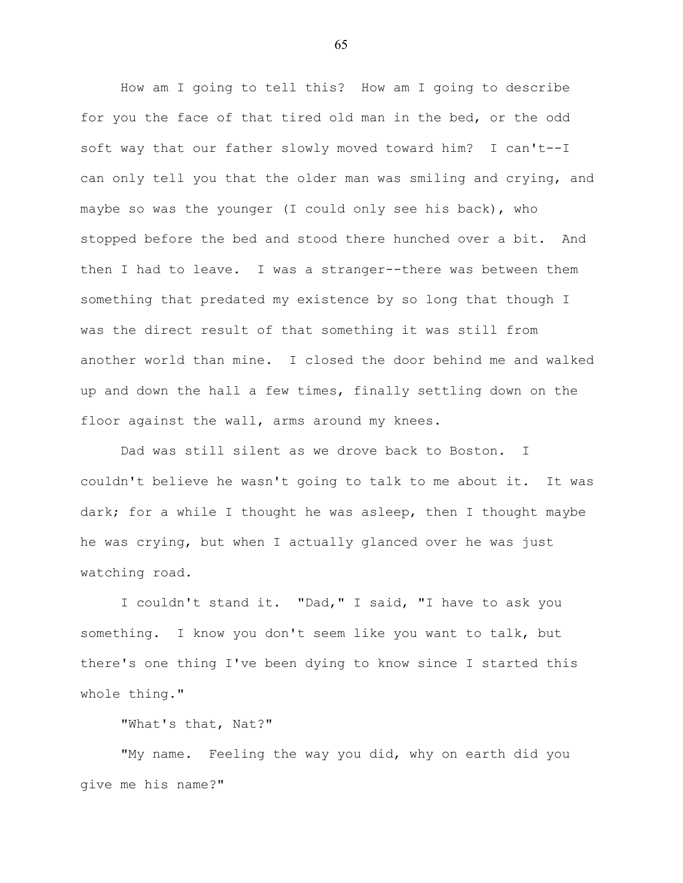How am I going to tell this? How am I going to describe for you the face of that tired old man in the bed, or the odd soft way that our father slowly moved toward him? I can't--I can only tell you that the older man was smiling and crying, and maybe so was the younger (I could only see his back), who stopped before the bed and stood there hunched over a bit. And then I had to leave. I was a stranger--there was between them something that predated my existence by so long that though I was the direct result of that something it was still from another world than mine. I closed the door behind me and walked up and down the hall a few times, finally settling down on the floor against the wall, arms around my knees.

Dad was still silent as we drove back to Boston. I couldn't believe he wasn't going to talk to me about it. It was dark; for a while I thought he was asleep, then I thought maybe he was crying, but when I actually glanced over he was just watching road.

I couldn't stand it. "Dad," I said, "I have to ask you something. I know you don't seem like you want to talk, but there's one thing I've been dying to know since I started this whole thing."

"What's that, Nat?"

"My name. Feeling the way you did, why on earth did you give me his name?"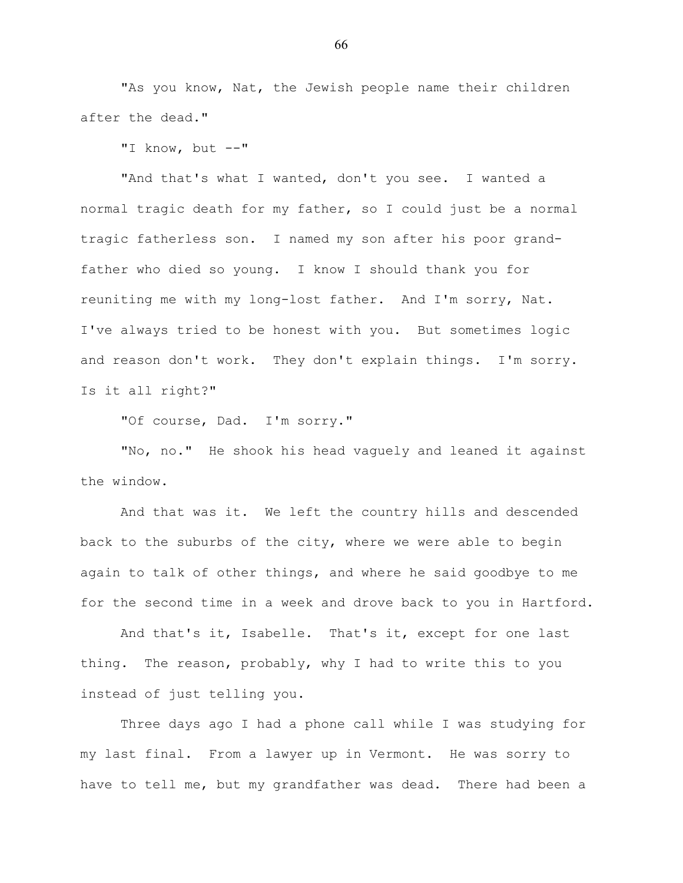"As you know, Nat, the Jewish people name their children after the dead."

"I know, but --"

"And that's what I wanted, don't you see. I wanted a normal tragic death for my father, so I could just be a normal tragic fatherless son. I named my son after his poor grandfather who died so young. I know I should thank you for reuniting me with my long-lost father. And I'm sorry, Nat. I've always tried to be honest with you. But sometimes logic and reason don't work. They don't explain things. I'm sorry. Is it all right?"

"Of course, Dad. I'm sorry."

"No, no." He shook his head vaguely and leaned it against the window.

And that was it. We left the country hills and descended back to the suburbs of the city, where we were able to begin again to talk of other things, and where he said goodbye to me for the second time in a week and drove back to you in Hartford.

And that's it, Isabelle. That's it, except for one last thing. The reason, probably, why I had to write this to you instead of just telling you.

Three days ago I had a phone call while I was studying for my last final. From a lawyer up in Vermont. He was sorry to have to tell me, but my grandfather was dead. There had been a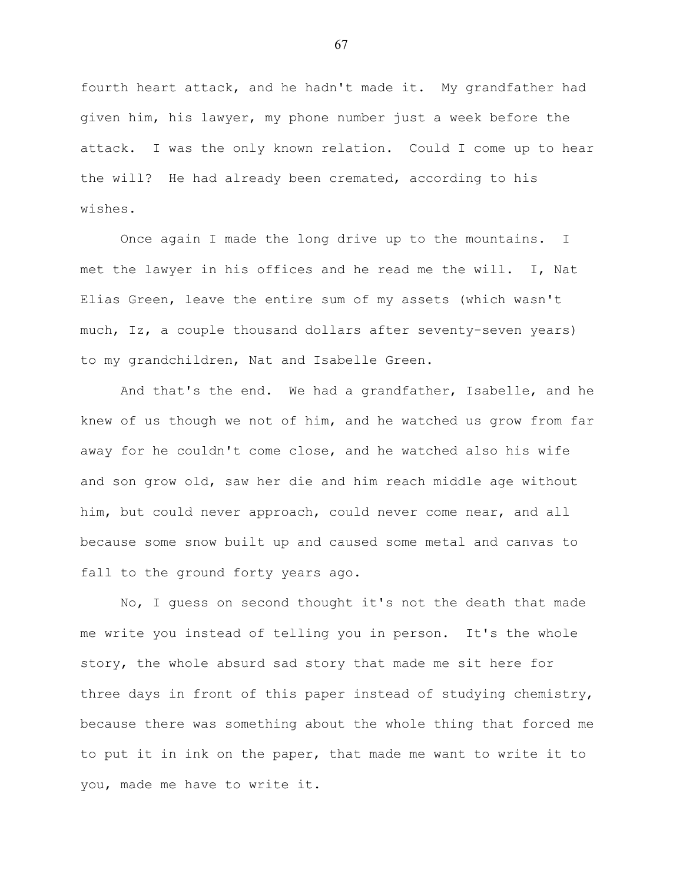fourth heart attack, and he hadn't made it. My grandfather had given him, his lawyer, my phone number just a week before the attack. I was the only known relation. Could I come up to hear the will? He had already been cremated, according to his wishes.

Once again I made the long drive up to the mountains. I met the lawyer in his offices and he read me the will. I, Nat Elias Green, leave the entire sum of my assets (which wasn't much, Iz, a couple thousand dollars after seventy-seven years) to my grandchildren, Nat and Isabelle Green.

And that's the end. We had a grandfather, Isabelle, and he knew of us though we not of him, and he watched us grow from far away for he couldn't come close, and he watched also his wife and son grow old, saw her die and him reach middle age without him, but could never approach, could never come near, and all because some snow built up and caused some metal and canvas to fall to the ground forty years ago.

No, I guess on second thought it's not the death that made me write you instead of telling you in person. It's the whole story, the whole absurd sad story that made me sit here for three days in front of this paper instead of studying chemistry, because there was something about the whole thing that forced me to put it in ink on the paper, that made me want to write it to you, made me have to write it.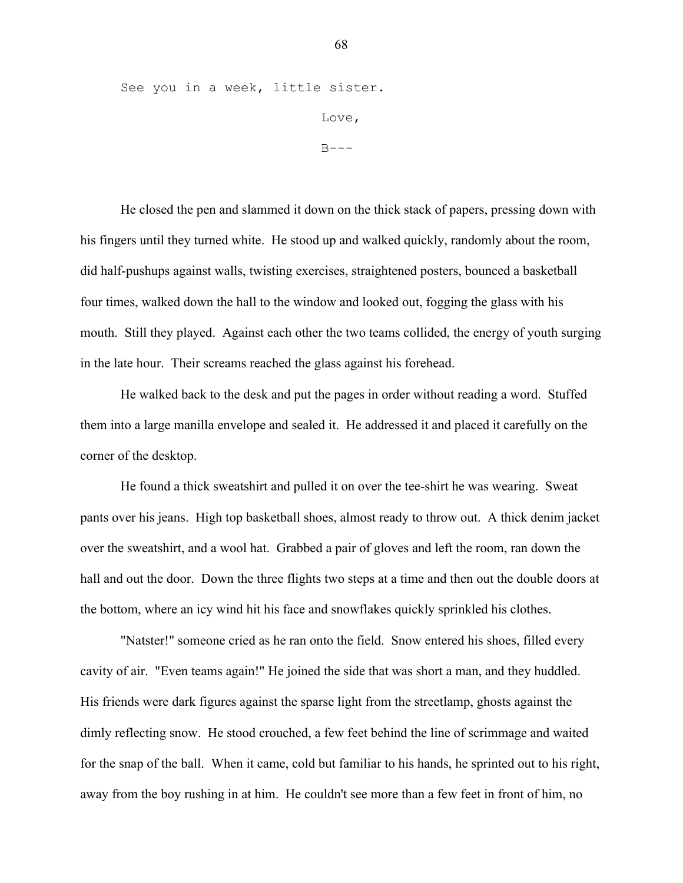See you in a week, little sister. Love,  $B---$ 

He closed the pen and slammed it down on the thick stack of papers, pressing down with his fingers until they turned white. He stood up and walked quickly, randomly about the room, did half-pushups against walls, twisting exercises, straightened posters, bounced a basketball four times, walked down the hall to the window and looked out, fogging the glass with his mouth. Still they played. Against each other the two teams collided, the energy of youth surging in the late hour. Their screams reached the glass against his forehead.

He walked back to the desk and put the pages in order without reading a word. Stuffed them into a large manilla envelope and sealed it. He addressed it and placed it carefully on the corner of the desktop.

He found a thick sweatshirt and pulled it on over the tee-shirt he was wearing. Sweat pants over his jeans. High top basketball shoes, almost ready to throw out. A thick denim jacket over the sweatshirt, and a wool hat. Grabbed a pair of gloves and left the room, ran down the hall and out the door. Down the three flights two steps at a time and then out the double doors at the bottom, where an icy wind hit his face and snowflakes quickly sprinkled his clothes.

"Natster!" someone cried as he ran onto the field. Snow entered his shoes, filled every cavity of air. "Even teams again!" He joined the side that was short a man, and they huddled. His friends were dark figures against the sparse light from the streetlamp, ghosts against the dimly reflecting snow. He stood crouched, a few feet behind the line of scrimmage and waited for the snap of the ball. When it came, cold but familiar to his hands, he sprinted out to his right, away from the boy rushing in at him. He couldn't see more than a few feet in front of him, no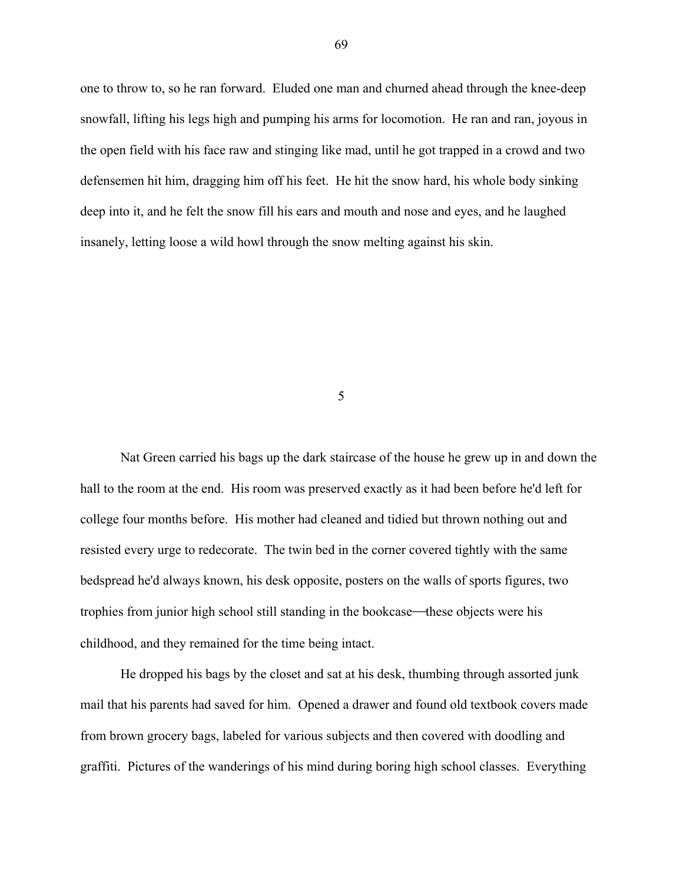one to throw to, so he ran forward. Eluded one man and churned ahead through the knee-deep snowfall, lifting his legs high and pumping his arms for locomotion. He ran and ran, joyous in the open field with his face raw and stinging like mad, until he got trapped in a crowd and two defensemen hit him, dragging him off his feet. He hit the snow hard, his whole body sinking deep into it, and he felt the snow fill his ears and mouth and nose and eyes, and he laughed insanely, letting loose a wild howl through the snow melting against his skin.

5

Nat Green carried his bags up the dark staircase of the house he grew up in and down the hall to the room at the end. His room was preserved exactly as it had been before he'd left for college four months before. His mother had cleaned and tidied but thrown nothing out and resisted every urge to redecorate. The twin bed in the corner covered tightly with the same bedspread he'd always known, his desk opposite, posters on the walls of sports figures, two trophies from junior high school still standing in the bookcase—these objects were his childhood, and they remained for the time being intact.

He dropped his bags by the closet and sat at his desk, thumbing through assorted junk mail that his parents had saved for him. Opened a drawer and found old textbook covers made from brown grocery bags, labeled for various subjects and then covered with doodling and graffiti. Pictures of the wanderings of his mind during boring high school classes. Everything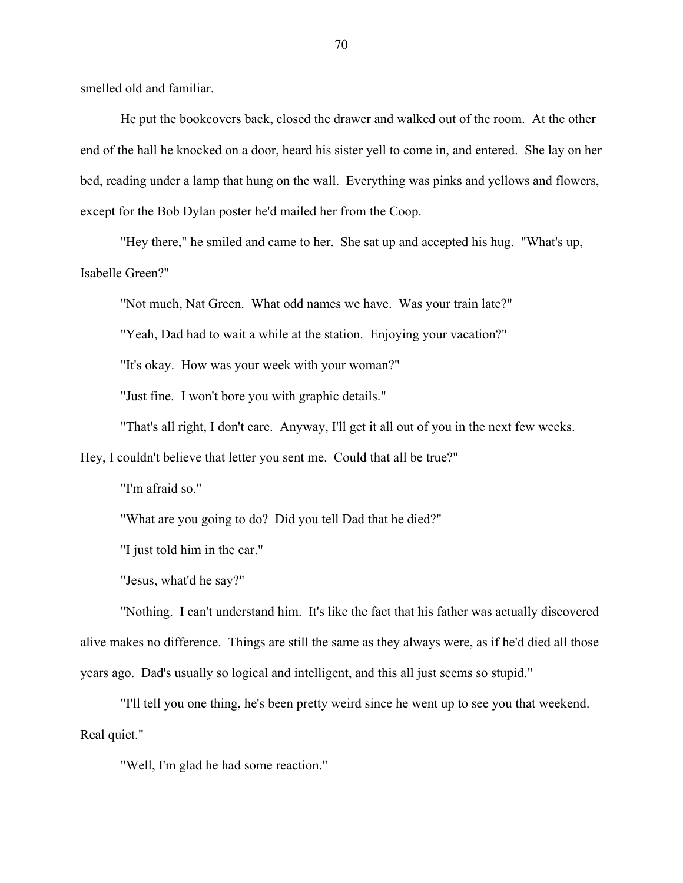smelled old and familiar.

He put the bookcovers back, closed the drawer and walked out of the room. At the other end of the hall he knocked on a door, heard his sister yell to come in, and entered. She lay on her bed, reading under a lamp that hung on the wall. Everything was pinks and yellows and flowers, except for the Bob Dylan poster he'd mailed her from the Coop.

"Hey there," he smiled and came to her. She sat up and accepted his hug. "What's up, Isabelle Green?"

"Not much, Nat Green. What odd names we have. Was your train late?"

"Yeah, Dad had to wait a while at the station. Enjoying your vacation?"

"It's okay. How was your week with your woman?"

"Just fine. I won't bore you with graphic details."

"That's all right, I don't care. Anyway, I'll get it all out of you in the next few weeks.

Hey, I couldn't believe that letter you sent me. Could that all be true?"

"I'm afraid so."

"What are you going to do? Did you tell Dad that he died?"

"I just told him in the car."

"Jesus, what'd he say?"

"Nothing. I can't understand him. It's like the fact that his father was actually discovered alive makes no difference. Things are still the same as they always were, as if he'd died all those years ago. Dad's usually so logical and intelligent, and this all just seems so stupid."

"I'll tell you one thing, he's been pretty weird since he went up to see you that weekend. Real quiet."

"Well, I'm glad he had some reaction."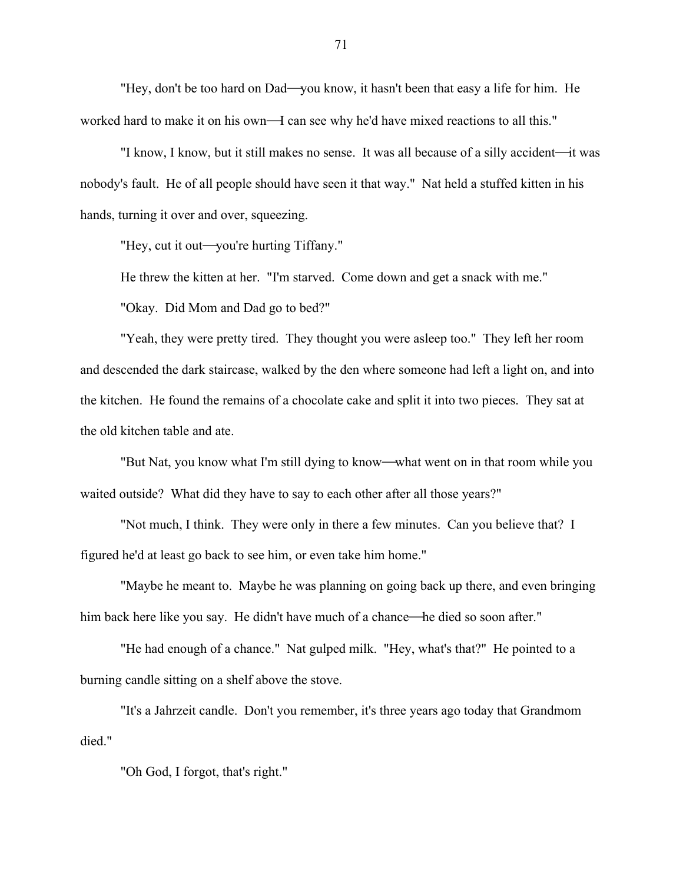"Hey, don't be too hard on Dad—you know, it hasn't been that easy a life for him. He worked hard to make it on his own—I can see why he'd have mixed reactions to all this."

"I know, I know, but it still makes no sense. It was all because of a silly accident—it was nobody's fault. He of all people should have seen it that way." Nat held a stuffed kitten in his hands, turning it over and over, squeezing.

"Hey, cut it out—you're hurting Tiffany."

He threw the kitten at her. "I'm starved. Come down and get a snack with me."

"Okay. Did Mom and Dad go to bed?"

"Yeah, they were pretty tired. They thought you were asleep too." They left her room and descended the dark staircase, walked by the den where someone had left a light on, and into the kitchen. He found the remains of a chocolate cake and split it into two pieces. They sat at the old kitchen table and ate.

"But Nat, you know what I'm still dying to know—what went on in that room while you waited outside? What did they have to say to each other after all those years?"

"Not much, I think. They were only in there a few minutes. Can you believe that? I figured he'd at least go back to see him, or even take him home."

"Maybe he meant to. Maybe he was planning on going back up there, and even bringing him back here like you say. He didn't have much of a chance—he died so soon after."

"He had enough of a chance." Nat gulped milk. "Hey, what's that?" He pointed to a burning candle sitting on a shelf above the stove.

"It's a Jahrzeit candle. Don't you remember, it's three years ago today that Grandmom died."

"Oh God, I forgot, that's right."